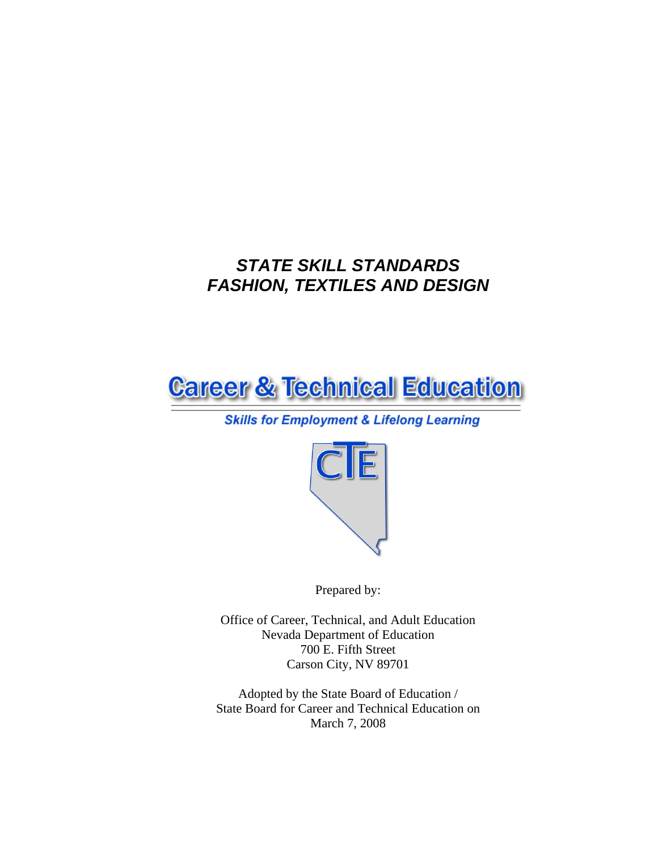# *STATE SKILL STANDARDS FASHION, TEXTILES AND DESIGN*



# **Skills for Employment & Lifelong Learning**



Prepared by:

Office of Career, Technical, and Adult Education Nevada Department of Education 700 E. Fifth Street Carson City, NV 89701

Adopted by the State Board of Education / State Board for Career and Technical Education on March 7, 2008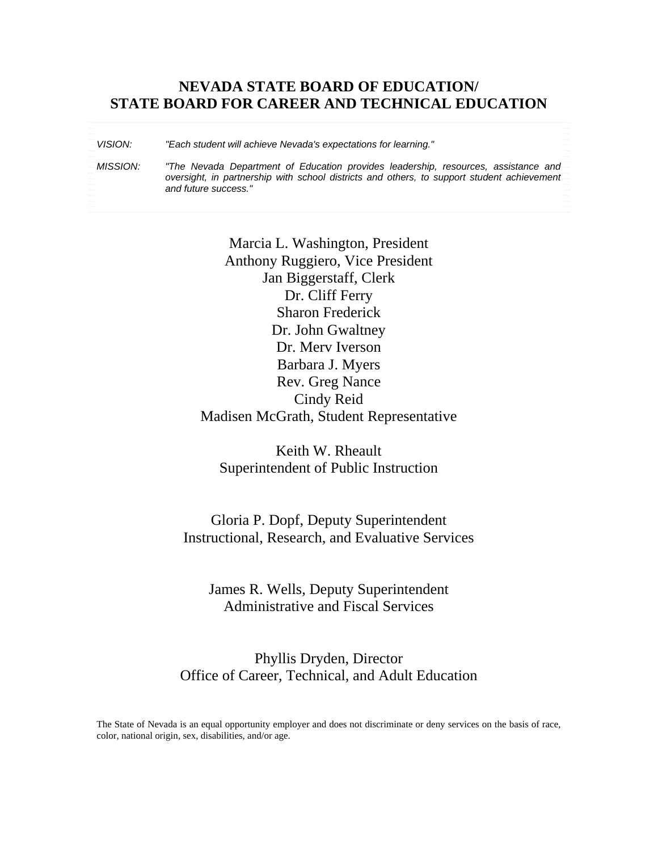# **NEVADA STATE BOARD OF EDUCATION/ STATE BOARD FOR CAREER AND TECHNICAL EDUCATION**

*VISION: "Each student will achieve Nevada's expectations for learning."* 

*MISSION: "The Nevada Department of Education provides leadership, resources, assistance and oversight, in partnership with school districts and others, to support student achievement and future success."* 

> Marcia L. Washington, President Anthony Ruggiero, Vice President Jan Biggerstaff, Clerk Dr. Cliff Ferry Sharon Frederick Dr. John Gwaltney Dr. Merv Iverson Barbara J. Myers Rev. Greg Nance Cindy Reid Madisen McGrath, Student Representative

Keith W. Rheault Superintendent of Public Instruction

Gloria P. Dopf, Deputy Superintendent Instructional, Research, and Evaluative Services

James R. Wells, Deputy Superintendent Administrative and Fiscal Services

Phyllis Dryden, Director Office of Career, Technical, and Adult Education

The State of Nevada is an equal opportunity employer and does not discriminate or deny services on the basis of race, color, national origin, sex, disabilities, and/or age.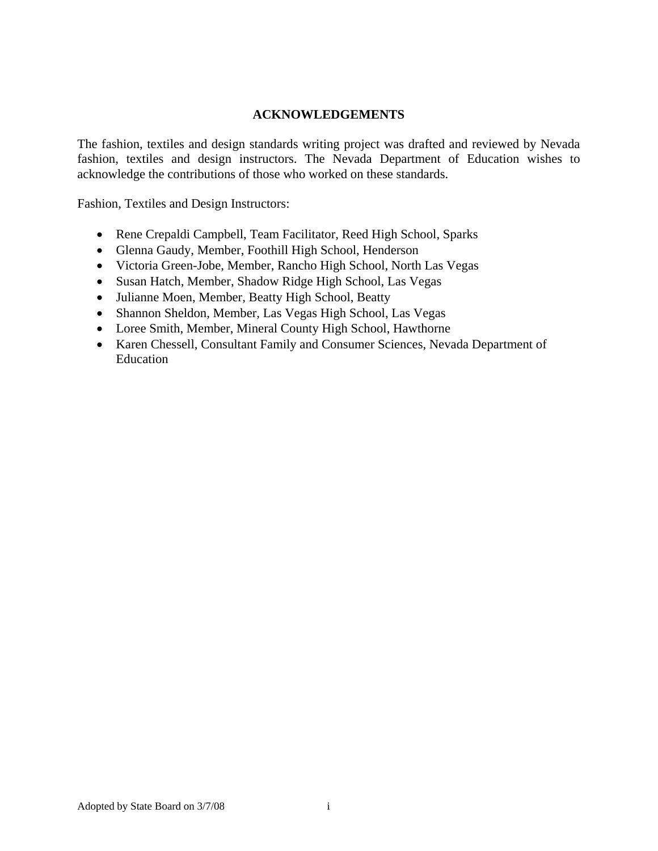#### **ACKNOWLEDGEMENTS**

The fashion, textiles and design standards writing project was drafted and reviewed by Nevada fashion, textiles and design instructors. The Nevada Department of Education wishes to acknowledge the contributions of those who worked on these standards.

Fashion, Textiles and Design Instructors:

- Rene Crepaldi Campbell, Team Facilitator, Reed High School, Sparks
- Glenna Gaudy, Member, Foothill High School, Henderson
- Victoria Green-Jobe, Member, Rancho High School, North Las Vegas
- Susan Hatch, Member, Shadow Ridge High School, Las Vegas
- Julianne Moen, Member, Beatty High School, Beatty
- Shannon Sheldon, Member, Las Vegas High School, Las Vegas
- Loree Smith, Member, Mineral County High School, Hawthorne
- Karen Chessell, Consultant Family and Consumer Sciences, Nevada Department of Education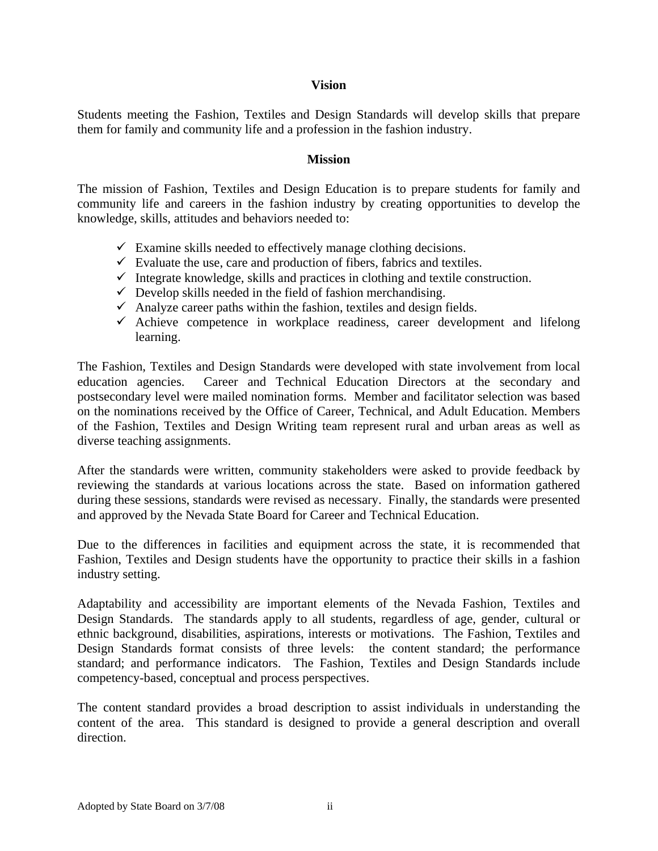#### **Vision**

Students meeting the Fashion, Textiles and Design Standards will develop skills that prepare them for family and community life and a profession in the fashion industry.

#### **Mission**

The mission of Fashion, Textiles and Design Education is to prepare students for family and community life and careers in the fashion industry by creating opportunities to develop the knowledge, skills, attitudes and behaviors needed to:

- $\checkmark$  Examine skills needed to effectively manage clothing decisions.
- $\checkmark$  Evaluate the use, care and production of fibers, fabrics and textiles.
- $\checkmark$  Integrate knowledge, skills and practices in clothing and textile construction.
- $\checkmark$  Develop skills needed in the field of fashion merchandising.
- $\checkmark$  Analyze career paths within the fashion, textiles and design fields.
- $\checkmark$  Achieve competence in workplace readiness, career development and lifelong learning.

The Fashion, Textiles and Design Standards were developed with state involvement from local education agencies. Career and Technical Education Directors at the secondary and postsecondary level were mailed nomination forms. Member and facilitator selection was based on the nominations received by the Office of Career, Technical, and Adult Education. Members of the Fashion, Textiles and Design Writing team represent rural and urban areas as well as diverse teaching assignments.

After the standards were written, community stakeholders were asked to provide feedback by reviewing the standards at various locations across the state. Based on information gathered during these sessions, standards were revised as necessary. Finally, the standards were presented and approved by the Nevada State Board for Career and Technical Education.

Due to the differences in facilities and equipment across the state, it is recommended that Fashion, Textiles and Design students have the opportunity to practice their skills in a fashion industry setting.

Adaptability and accessibility are important elements of the Nevada Fashion, Textiles and Design Standards. The standards apply to all students, regardless of age, gender, cultural or ethnic background, disabilities, aspirations, interests or motivations. The Fashion, Textiles and Design Standards format consists of three levels: the content standard; the performance standard; and performance indicators. The Fashion, Textiles and Design Standards include competency-based, conceptual and process perspectives.

The content standard provides a broad description to assist individuals in understanding the content of the area. This standard is designed to provide a general description and overall direction.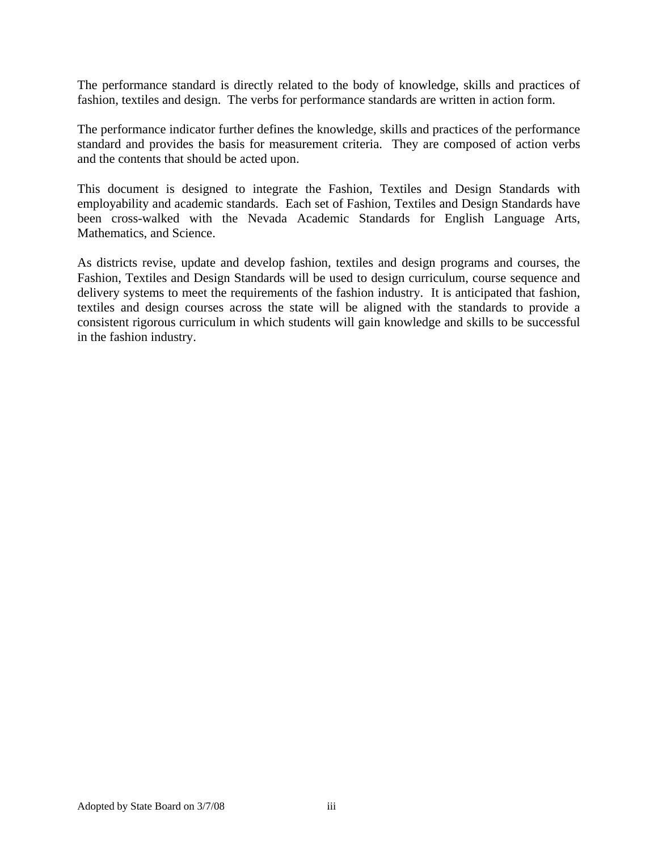The performance standard is directly related to the body of knowledge, skills and practices of fashion, textiles and design. The verbs for performance standards are written in action form.

The performance indicator further defines the knowledge, skills and practices of the performance standard and provides the basis for measurement criteria. They are composed of action verbs and the contents that should be acted upon.

This document is designed to integrate the Fashion, Textiles and Design Standards with employability and academic standards. Each set of Fashion, Textiles and Design Standards have been cross-walked with the Nevada Academic Standards for English Language Arts, Mathematics, and Science.

As districts revise, update and develop fashion, textiles and design programs and courses, the Fashion, Textiles and Design Standards will be used to design curriculum, course sequence and delivery systems to meet the requirements of the fashion industry. It is anticipated that fashion, textiles and design courses across the state will be aligned with the standards to provide a consistent rigorous curriculum in which students will gain knowledge and skills to be successful in the fashion industry.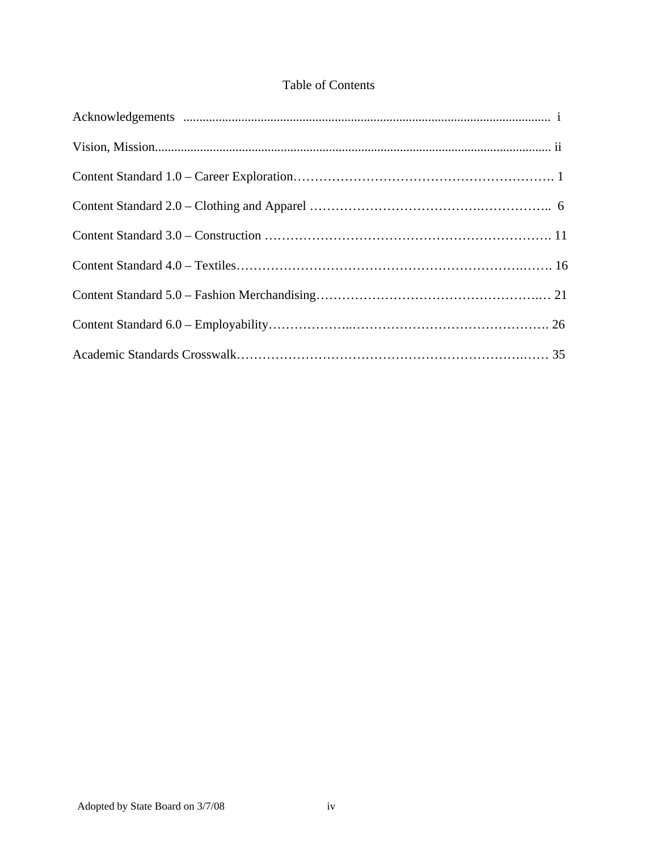# Table of Contents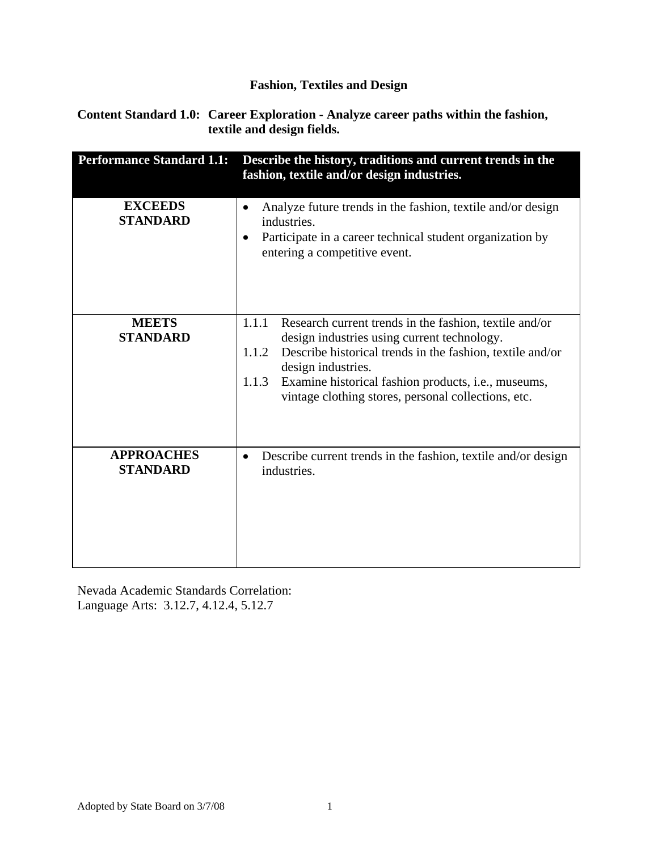**Content Standard 1.0: Career Exploration - Analyze career paths within the fashion, textile and design fields.** 

| <b>Performance Standard 1.1:</b>     | Describe the history, traditions and current trends in the<br>fashion, textile and/or design industries.                                                                                                                                                                                                                          |
|--------------------------------------|-----------------------------------------------------------------------------------------------------------------------------------------------------------------------------------------------------------------------------------------------------------------------------------------------------------------------------------|
| <b>EXCEEDS</b><br><b>STANDARD</b>    | Analyze future trends in the fashion, textile and/or design<br>$\bullet$<br>industries.<br>Participate in a career technical student organization by<br>$\bullet$<br>entering a competitive event.                                                                                                                                |
| <b>MEETS</b><br><b>STANDARD</b>      | 1.1.1<br>Research current trends in the fashion, textile and/or<br>design industries using current technology.<br>Describe historical trends in the fashion, textile and/or<br>1.1.2<br>design industries.<br>Examine historical fashion products, i.e., museums,<br>1.1.3<br>vintage clothing stores, personal collections, etc. |
| <b>APPROACHES</b><br><b>STANDARD</b> | Describe current trends in the fashion, textile and/or design<br>$\bullet$<br>industries.                                                                                                                                                                                                                                         |

Nevada Academic Standards Correlation: Language Arts: 3.12.7, 4.12.4, 5.12.7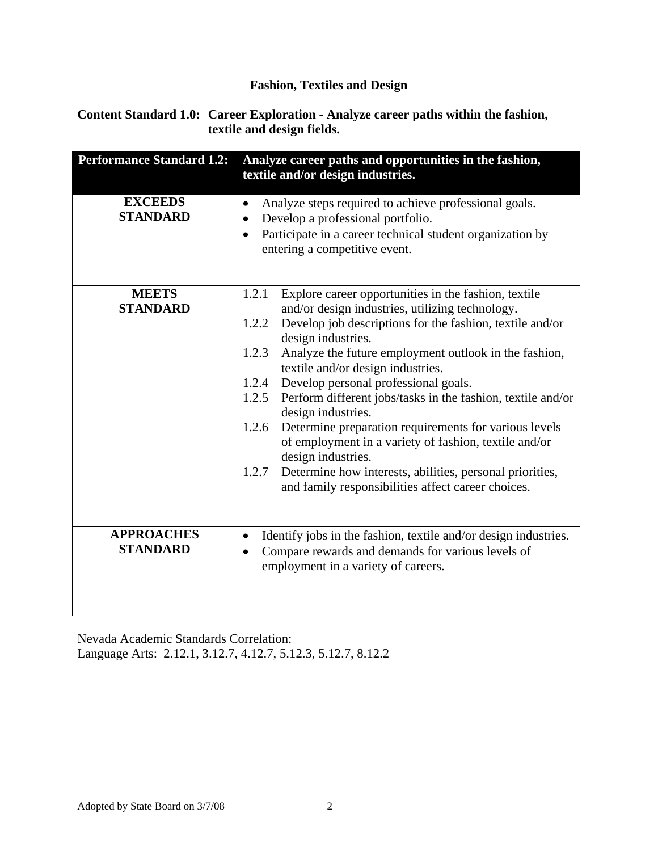**Content Standard 1.0: Career Exploration - Analyze career paths within the fashion, textile and design fields.** 

| <b>Performance Standard 1.2:</b>     | Analyze career paths and opportunities in the fashion,<br>textile and/or design industries.                                                                                                                                                                                                                                                                                                                                                                                                                                                                                                                                                                                                                                                   |
|--------------------------------------|-----------------------------------------------------------------------------------------------------------------------------------------------------------------------------------------------------------------------------------------------------------------------------------------------------------------------------------------------------------------------------------------------------------------------------------------------------------------------------------------------------------------------------------------------------------------------------------------------------------------------------------------------------------------------------------------------------------------------------------------------|
| <b>EXCEEDS</b><br><b>STANDARD</b>    | Analyze steps required to achieve professional goals.<br>٠<br>Develop a professional portfolio.<br>$\bullet$<br>Participate in a career technical student organization by<br>٠<br>entering a competitive event.                                                                                                                                                                                                                                                                                                                                                                                                                                                                                                                               |
| <b>MEETS</b><br><b>STANDARD</b>      | Explore career opportunities in the fashion, textile<br>1.2.1<br>and/or design industries, utilizing technology.<br>Develop job descriptions for the fashion, textile and/or<br>1.2.2<br>design industries.<br>1.2.3<br>Analyze the future employment outlook in the fashion,<br>textile and/or design industries.<br>Develop personal professional goals.<br>1.2.4<br>Perform different jobs/tasks in the fashion, textile and/or<br>1.2.5<br>design industries.<br>Determine preparation requirements for various levels<br>1.2.6<br>of employment in a variety of fashion, textile and/or<br>design industries.<br>Determine how interests, abilities, personal priorities,<br>1.2.7<br>and family responsibilities affect career choices. |
| <b>APPROACHES</b><br><b>STANDARD</b> | Identify jobs in the fashion, textile and/or design industries.<br>$\bullet$<br>Compare rewards and demands for various levels of<br>٠<br>employment in a variety of careers.                                                                                                                                                                                                                                                                                                                                                                                                                                                                                                                                                                 |

Nevada Academic Standards Correlation: Language Arts: 2.12.1, 3.12.7, 4.12.7, 5.12.3, 5.12.7, 8.12.2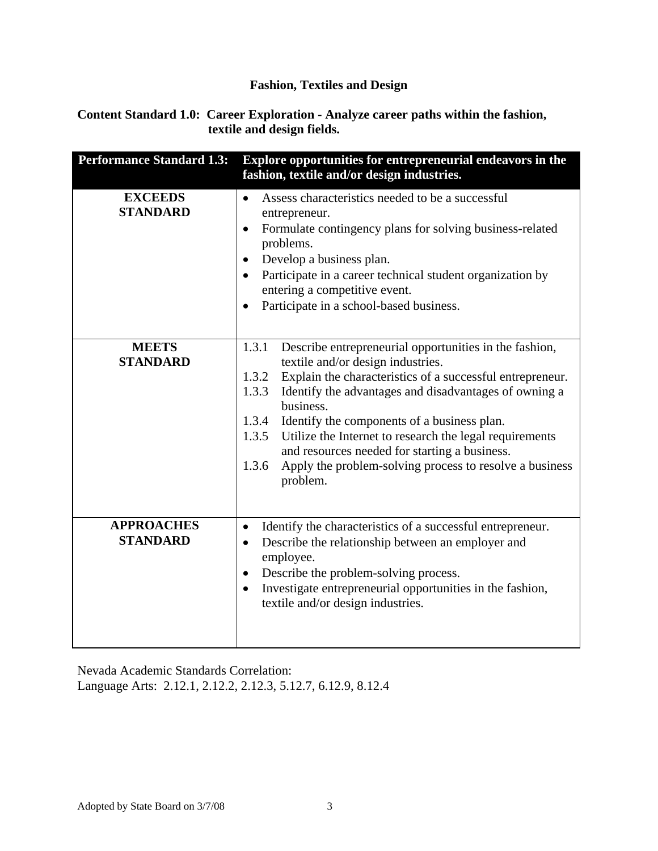**Content Standard 1.0: Career Exploration - Analyze career paths within the fashion, textile and design fields.** 

| <b>Performance Standard 1.3:</b>     | Explore opportunities for entrepreneurial endeavors in the<br>fashion, textile and/or design industries.                                                                                                                                                                                                                                                                                                                                                                                                               |
|--------------------------------------|------------------------------------------------------------------------------------------------------------------------------------------------------------------------------------------------------------------------------------------------------------------------------------------------------------------------------------------------------------------------------------------------------------------------------------------------------------------------------------------------------------------------|
| <b>EXCEEDS</b><br><b>STANDARD</b>    | Assess characteristics needed to be a successful<br>$\bullet$<br>entrepreneur.<br>Formulate contingency plans for solving business-related<br>$\bullet$<br>problems.<br>Develop a business plan.<br>$\bullet$<br>Participate in a career technical student organization by<br>entering a competitive event.<br>Participate in a school-based business.<br>$\bullet$                                                                                                                                                    |
| <b>MEETS</b><br><b>STANDARD</b>      | 1.3.1<br>Describe entrepreneurial opportunities in the fashion,<br>textile and/or design industries.<br>Explain the characteristics of a successful entrepreneur.<br>1.3.2<br>1.3.3<br>Identify the advantages and disadvantages of owning a<br>business.<br>1.3.4<br>Identify the components of a business plan.<br>1.3.5<br>Utilize the Internet to research the legal requirements<br>and resources needed for starting a business.<br>1.3.6<br>Apply the problem-solving process to resolve a business<br>problem. |
| <b>APPROACHES</b><br><b>STANDARD</b> | Identify the characteristics of a successful entrepreneur.<br>$\bullet$<br>Describe the relationship between an employer and<br>$\bullet$<br>employee.<br>Describe the problem-solving process.<br>$\bullet$<br>Investigate entrepreneurial opportunities in the fashion,<br>$\bullet$<br>textile and/or design industries.                                                                                                                                                                                            |

Nevada Academic Standards Correlation: Language Arts: 2.12.1, 2.12.2, 2.12.3, 5.12.7, 6.12.9, 8.12.4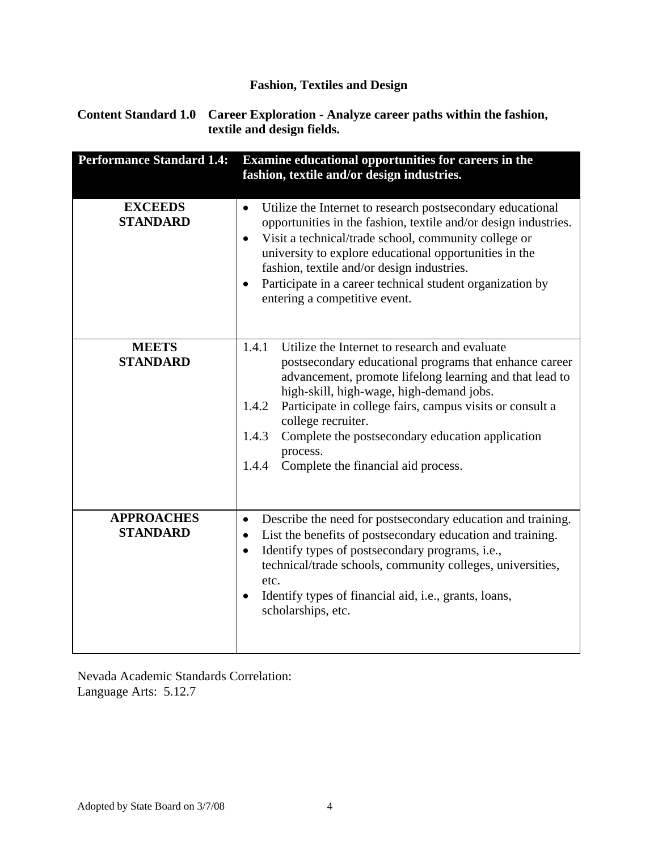**Content Standard 1.0 Career Exploration - Analyze career paths within the fashion, textile and design fields.** 

| <b>Performance Standard 1.4:</b>     | Examine educational opportunities for careers in the<br>fashion, textile and/or design industries.                                                                                                                                                                                                                                                                                                                                          |
|--------------------------------------|---------------------------------------------------------------------------------------------------------------------------------------------------------------------------------------------------------------------------------------------------------------------------------------------------------------------------------------------------------------------------------------------------------------------------------------------|
| <b>EXCEEDS</b><br><b>STANDARD</b>    | Utilize the Internet to research postsecondary educational<br>$\bullet$<br>opportunities in the fashion, textile and/or design industries.<br>Visit a technical/trade school, community college or<br>$\bullet$<br>university to explore educational opportunities in the<br>fashion, textile and/or design industries.<br>Participate in a career technical student organization by<br>$\bullet$<br>entering a competitive event.          |
| <b>MEETS</b><br><b>STANDARD</b>      | 1.4.1<br>Utilize the Internet to research and evaluate<br>postsecondary educational programs that enhance career<br>advancement, promote lifelong learning and that lead to<br>high-skill, high-wage, high-demand jobs.<br>Participate in college fairs, campus visits or consult a<br>1.4.2<br>college recruiter.<br>1.4.3<br>Complete the postsecondary education application<br>process.<br>Complete the financial aid process.<br>1.4.4 |
| <b>APPROACHES</b><br><b>STANDARD</b> | Describe the need for postsecondary education and training.<br>$\bullet$<br>List the benefits of postsecondary education and training.<br>$\bullet$<br>Identify types of postsecondary programs, i.e.,<br>$\bullet$<br>technical/trade schools, community colleges, universities,<br>etc.<br>Identify types of financial aid, i.e., grants, loans,<br>$\bullet$<br>scholarships, etc.                                                       |

Nevada Academic Standards Correlation: Language Arts: 5.12.7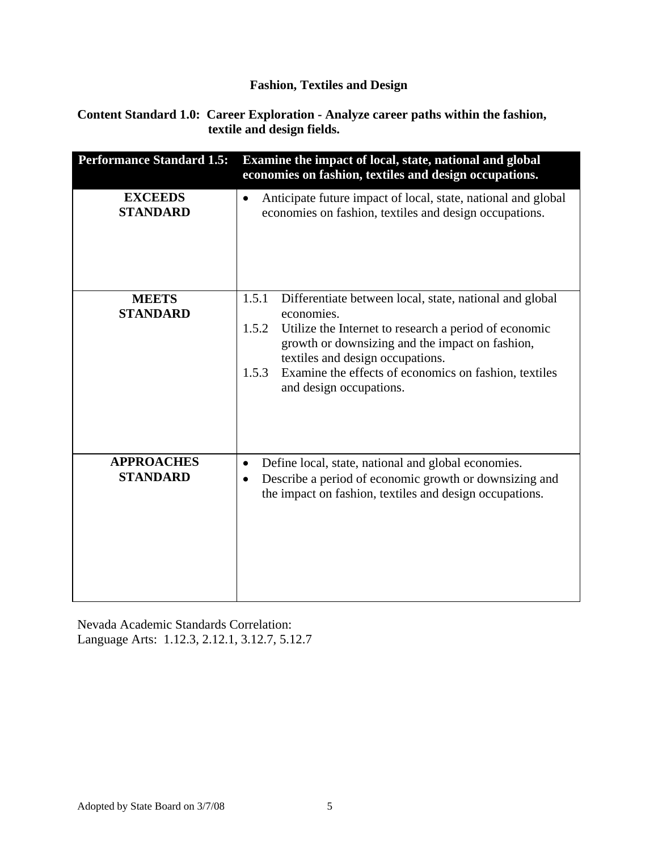**Content Standard 1.0: Career Exploration - Analyze career paths within the fashion, textile and design fields.** 

| <b>Performance Standard 1.5:</b>     | Examine the impact of local, state, national and global<br>economies on fashion, textiles and design occupations.                                                                                                                                                                                                                    |
|--------------------------------------|--------------------------------------------------------------------------------------------------------------------------------------------------------------------------------------------------------------------------------------------------------------------------------------------------------------------------------------|
| <b>EXCEEDS</b><br><b>STANDARD</b>    | Anticipate future impact of local, state, national and global<br>$\bullet$<br>economies on fashion, textiles and design occupations.                                                                                                                                                                                                 |
| <b>MEETS</b><br><b>STANDARD</b>      | 1.5.1<br>Differentiate between local, state, national and global<br>economies.<br>Utilize the Internet to research a period of economic<br>1.5.2<br>growth or downsizing and the impact on fashion,<br>textiles and design occupations.<br>Examine the effects of economics on fashion, textiles<br>1.5.3<br>and design occupations. |
| <b>APPROACHES</b><br><b>STANDARD</b> | Define local, state, national and global economies.<br>$\bullet$<br>Describe a period of economic growth or downsizing and<br>$\bullet$<br>the impact on fashion, textiles and design occupations.                                                                                                                                   |

Nevada Academic Standards Correlation: Language Arts: 1.12.3, 2.12.1, 3.12.7, 5.12.7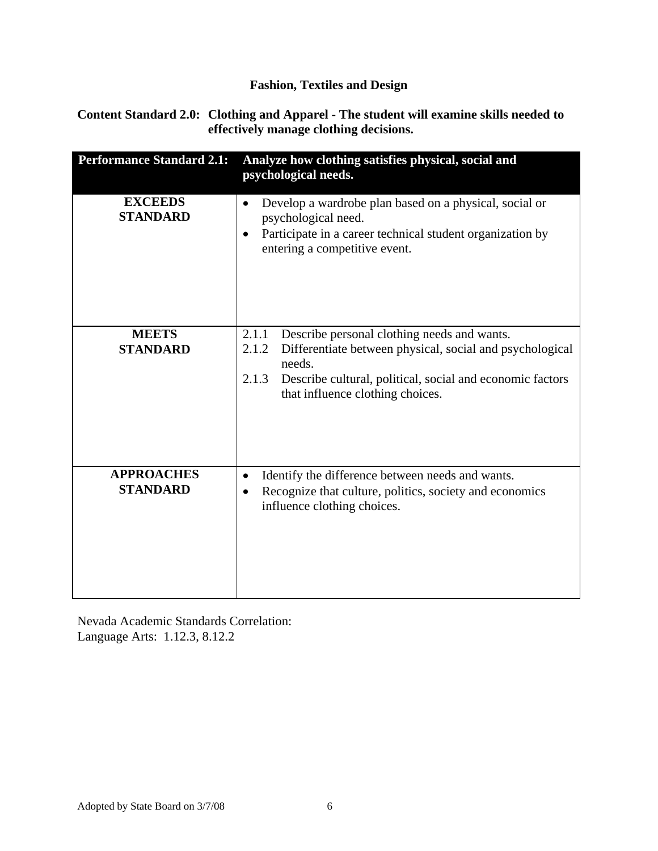#### **Content Standard 2.0: Clothing and Apparel - The student will examine skills needed to effectively manage clothing decisions.**

| <b>Performance Standard 2.1:</b>     | Analyze how clothing satisfies physical, social and<br>psychological needs.                                                                                                                                                                   |
|--------------------------------------|-----------------------------------------------------------------------------------------------------------------------------------------------------------------------------------------------------------------------------------------------|
| <b>EXCEEDS</b><br><b>STANDARD</b>    | Develop a wardrobe plan based on a physical, social or<br>psychological need.<br>Participate in a career technical student organization by<br>$\bullet$<br>entering a competitive event.                                                      |
| <b>MEETS</b><br><b>STANDARD</b>      | Describe personal clothing needs and wants.<br>2.1.1<br>Differentiate between physical, social and psychological<br>2.1.2<br>needs.<br>2.1.3<br>Describe cultural, political, social and economic factors<br>that influence clothing choices. |
| <b>APPROACHES</b><br><b>STANDARD</b> | Identify the difference between needs and wants.<br>٠<br>Recognize that culture, politics, society and economics<br>$\bullet$<br>influence clothing choices.                                                                                  |

Nevada Academic Standards Correlation: Language Arts: 1.12.3, 8.12.2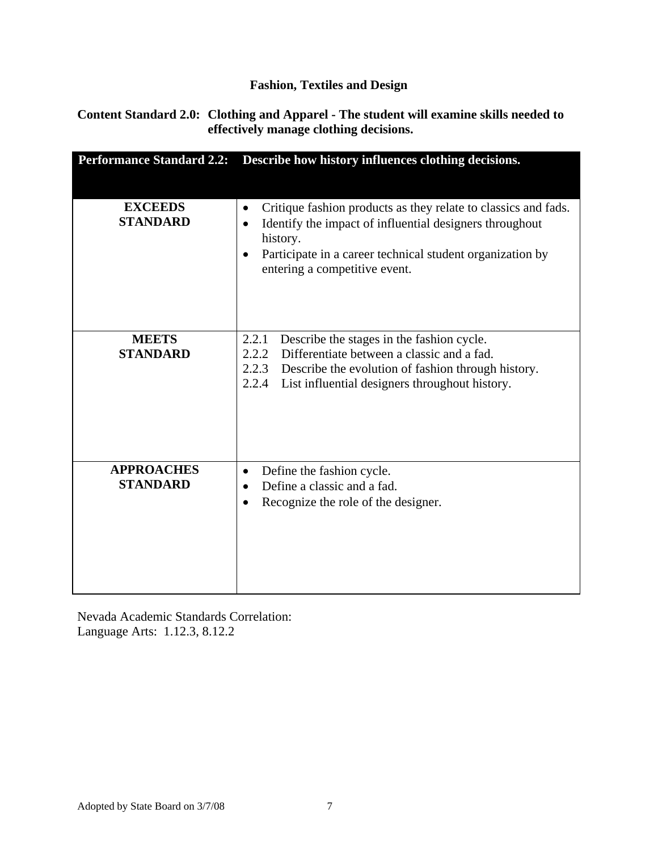#### **Content Standard 2.0: Clothing and Apparel - The student will examine skills needed to effectively manage clothing decisions.**

| <b>Performance Standard 2.2:</b>     | Describe how history influences clothing decisions.                                                                                                                                                                                                                        |
|--------------------------------------|----------------------------------------------------------------------------------------------------------------------------------------------------------------------------------------------------------------------------------------------------------------------------|
|                                      |                                                                                                                                                                                                                                                                            |
| <b>EXCEEDS</b><br><b>STANDARD</b>    | Critique fashion products as they relate to classics and fads.<br>$\bullet$<br>Identify the impact of influential designers throughout<br>$\bullet$<br>history.<br>Participate in a career technical student organization by<br>$\bullet$<br>entering a competitive event. |
| <b>MEETS</b><br><b>STANDARD</b>      | Describe the stages in the fashion cycle.<br>2.2.1<br>2.2.2<br>Differentiate between a classic and a fad.<br>2.2.3<br>Describe the evolution of fashion through history.<br>2.2.4<br>List influential designers throughout history.                                        |
| <b>APPROACHES</b><br><b>STANDARD</b> | Define the fashion cycle.<br>$\bullet$<br>Define a classic and a fad.<br>Recognize the role of the designer.                                                                                                                                                               |

Nevada Academic Standards Correlation: Language Arts: 1.12.3, 8.12.2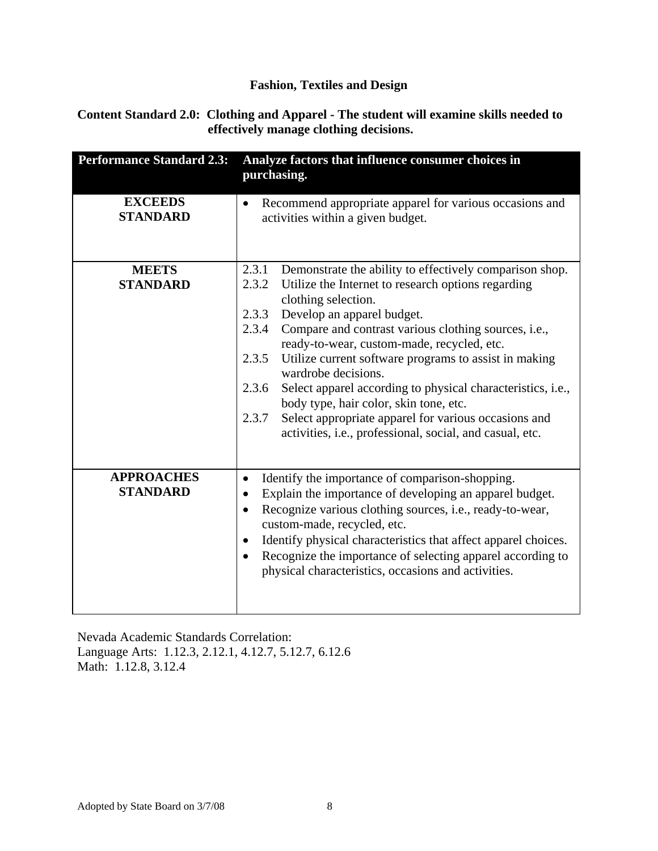#### **Content Standard 2.0: Clothing and Apparel - The student will examine skills needed to effectively manage clothing decisions.**

| <b>Performance Standard 2.3:</b>     | Analyze factors that influence consumer choices in<br>purchasing.                                                                                                                                                                                                                                                                                                                                                                                                                                                                                                                                                                                    |
|--------------------------------------|------------------------------------------------------------------------------------------------------------------------------------------------------------------------------------------------------------------------------------------------------------------------------------------------------------------------------------------------------------------------------------------------------------------------------------------------------------------------------------------------------------------------------------------------------------------------------------------------------------------------------------------------------|
| <b>EXCEEDS</b><br><b>STANDARD</b>    | Recommend appropriate apparel for various occasions and<br>$\bullet$<br>activities within a given budget.                                                                                                                                                                                                                                                                                                                                                                                                                                                                                                                                            |
| <b>MEETS</b><br><b>STANDARD</b>      | 2.3.1<br>Demonstrate the ability to effectively comparison shop.<br>2.3.2<br>Utilize the Internet to research options regarding<br>clothing selection.<br>2.3.3<br>Develop an apparel budget.<br>2.3.4<br>Compare and contrast various clothing sources, i.e.,<br>ready-to-wear, custom-made, recycled, etc.<br>Utilize current software programs to assist in making<br>2.3.5<br>wardrobe decisions.<br>Select apparel according to physical characteristics, i.e.,<br>2.3.6<br>body type, hair color, skin tone, etc.<br>Select appropriate apparel for various occasions and<br>2.3.7<br>activities, i.e., professional, social, and casual, etc. |
| <b>APPROACHES</b><br><b>STANDARD</b> | Identify the importance of comparison-shopping.<br>$\bullet$<br>Explain the importance of developing an apparel budget.<br>$\bullet$<br>Recognize various clothing sources, i.e., ready-to-wear,<br>$\bullet$<br>custom-made, recycled, etc.<br>Identify physical characteristics that affect apparel choices.<br>$\bullet$<br>Recognize the importance of selecting apparel according to<br>$\bullet$<br>physical characteristics, occasions and activities.                                                                                                                                                                                        |

Nevada Academic Standards Correlation: Language Arts: 1.12.3, 2.12.1, 4.12.7, 5.12.7, 6.12.6 Math: 1.12.8, 3.12.4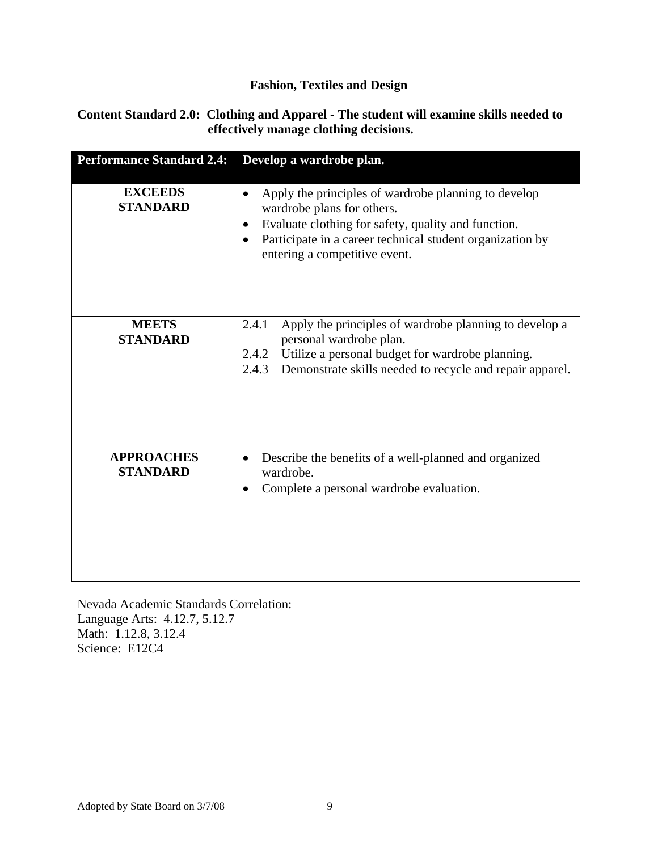#### **Content Standard 2.0: Clothing and Apparel - The student will examine skills needed to effectively manage clothing decisions.**

| <b>Performance Standard 2.4:</b>     | Develop a wardrobe plan.                                                                                                                                                                                                                             |
|--------------------------------------|------------------------------------------------------------------------------------------------------------------------------------------------------------------------------------------------------------------------------------------------------|
| <b>EXCEEDS</b><br><b>STANDARD</b>    | Apply the principles of wardrobe planning to develop<br>$\bullet$<br>wardrobe plans for others.<br>Evaluate clothing for safety, quality and function.<br>Participate in a career technical student organization by<br>entering a competitive event. |
| <b>MEETS</b><br><b>STANDARD</b>      | 2.4.1<br>Apply the principles of wardrobe planning to develop a<br>personal wardrobe plan.<br>Utilize a personal budget for wardrobe planning.<br>2.4.2<br>Demonstrate skills needed to recycle and repair apparel.<br>2.4.3                         |
| <b>APPROACHES</b><br><b>STANDARD</b> | Describe the benefits of a well-planned and organized<br>٠<br>wardrobe.<br>Complete a personal wardrobe evaluation.<br>٠                                                                                                                             |

Nevada Academic Standards Correlation: Language Arts: 4.12.7, 5.12.7 Math: 1.12.8, 3.12.4 Science: E12C4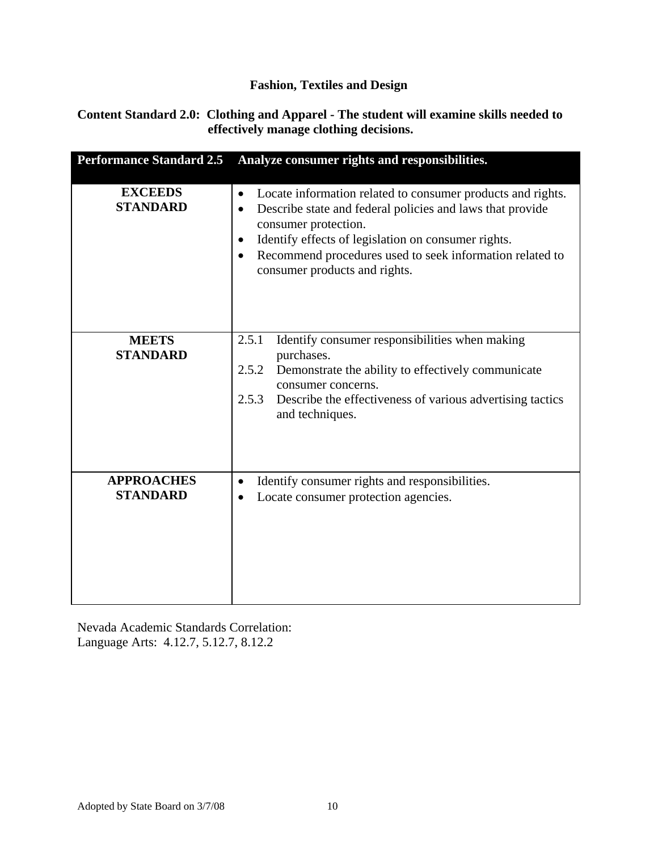#### **Content Standard 2.0: Clothing and Apparel - The student will examine skills needed to effectively manage clothing decisions.**

| <b>Performance Standard 2.5</b>      | Analyze consumer rights and responsibilities.                                                                                                                                                                                                                                                                       |
|--------------------------------------|---------------------------------------------------------------------------------------------------------------------------------------------------------------------------------------------------------------------------------------------------------------------------------------------------------------------|
| <b>EXCEEDS</b><br><b>STANDARD</b>    | Locate information related to consumer products and rights.<br>٠<br>Describe state and federal policies and laws that provide<br>consumer protection.<br>Identify effects of legislation on consumer rights.<br>٠<br>Recommend procedures used to seek information related to<br>٠<br>consumer products and rights. |
| <b>MEETS</b><br><b>STANDARD</b>      | Identify consumer responsibilities when making<br>2.5.1<br>purchases.<br>2.5.2<br>Demonstrate the ability to effectively communicate<br>consumer concerns.<br>2.5.3<br>Describe the effectiveness of various advertising tactics<br>and techniques.                                                                 |
| <b>APPROACHES</b><br><b>STANDARD</b> | Identify consumer rights and responsibilities.<br>$\bullet$<br>Locate consumer protection agencies.                                                                                                                                                                                                                 |

Nevada Academic Standards Correlation: Language Arts: 4.12.7, 5.12.7, 8.12.2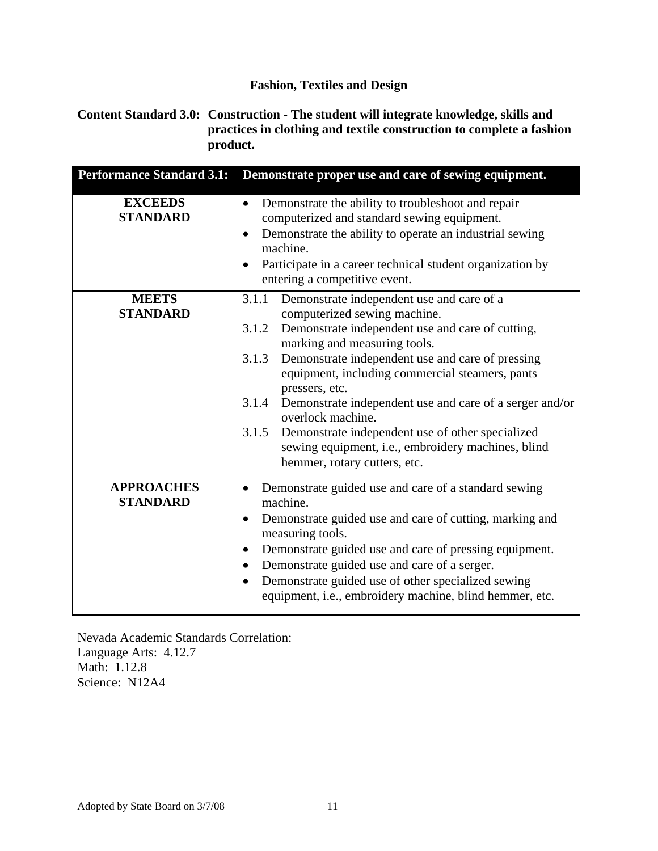#### **Content Standard 3.0: Construction - The student will integrate knowledge, skills and practices in clothing and textile construction to complete a fashion product.**

| <b>Performance Standard 3.1:</b>     | Demonstrate proper use and care of sewing equipment.                                                                                                                                                                                                                                                                                                                                                                                                                                                                                                          |
|--------------------------------------|---------------------------------------------------------------------------------------------------------------------------------------------------------------------------------------------------------------------------------------------------------------------------------------------------------------------------------------------------------------------------------------------------------------------------------------------------------------------------------------------------------------------------------------------------------------|
| <b>EXCEEDS</b><br><b>STANDARD</b>    | Demonstrate the ability to troubleshoot and repair<br>$\bullet$<br>computerized and standard sewing equipment.<br>Demonstrate the ability to operate an industrial sewing<br>$\bullet$<br>machine.<br>Participate in a career technical student organization by<br>$\bullet$<br>entering a competitive event.                                                                                                                                                                                                                                                 |
| <b>MEETS</b><br><b>STANDARD</b>      | 3.1.1<br>Demonstrate independent use and care of a<br>computerized sewing machine.<br>Demonstrate independent use and care of cutting,<br>3.1.2<br>marking and measuring tools.<br>Demonstrate independent use and care of pressing<br>3.1.3<br>equipment, including commercial steamers, pants<br>pressers, etc.<br>Demonstrate independent use and care of a serger and/or<br>3.1.4<br>overlock machine.<br>3.1.5<br>Demonstrate independent use of other specialized<br>sewing equipment, i.e., embroidery machines, blind<br>hemmer, rotary cutters, etc. |
| <b>APPROACHES</b><br><b>STANDARD</b> | Demonstrate guided use and care of a standard sewing<br>$\bullet$<br>machine.<br>Demonstrate guided use and care of cutting, marking and<br>$\bullet$<br>measuring tools.<br>Demonstrate guided use and care of pressing equipment.<br>$\bullet$<br>Demonstrate guided use and care of a serger.<br>$\bullet$<br>Demonstrate guided use of other specialized sewing<br>$\bullet$<br>equipment, i.e., embroidery machine, blind hemmer, etc.                                                                                                                   |

Nevada Academic Standards Correlation: Language Arts: 4.12.7 Math: 1.12.8 Science: N12A4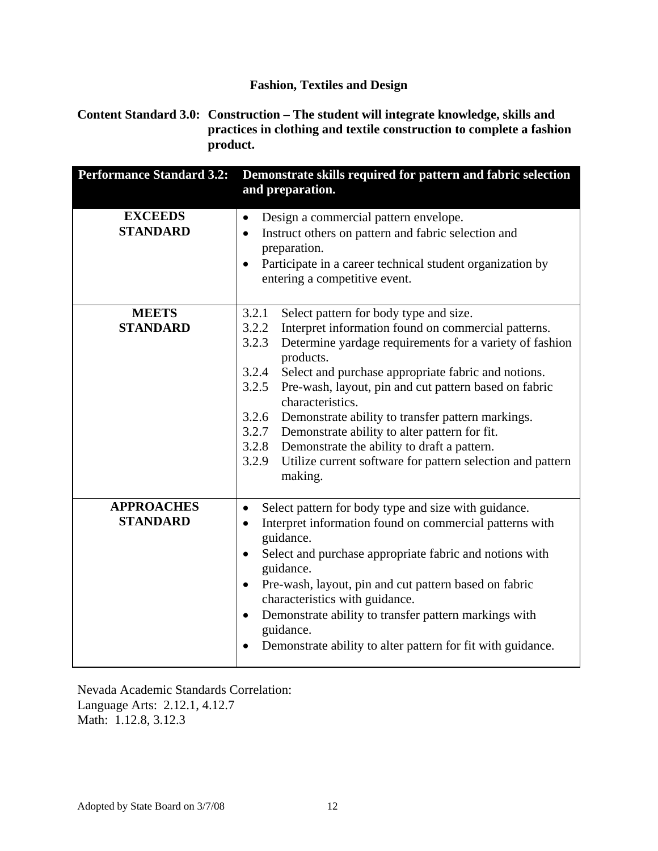**Content Standard 3.0: Construction – The student will integrate knowledge, skills and practices in clothing and textile construction to complete a fashion product.** 

| <b>Performance Standard 3.2:</b>     | Demonstrate skills required for pattern and fabric selection<br>and preparation.                                                                                                                                                                                                                                                                                                                                                                                                                                                                                                                                   |
|--------------------------------------|--------------------------------------------------------------------------------------------------------------------------------------------------------------------------------------------------------------------------------------------------------------------------------------------------------------------------------------------------------------------------------------------------------------------------------------------------------------------------------------------------------------------------------------------------------------------------------------------------------------------|
| <b>EXCEEDS</b><br><b>STANDARD</b>    | Design a commercial pattern envelope.<br>$\bullet$<br>Instruct others on pattern and fabric selection and<br>$\bullet$<br>preparation.<br>Participate in a career technical student organization by<br>entering a competitive event.                                                                                                                                                                                                                                                                                                                                                                               |
| <b>MEETS</b><br><b>STANDARD</b>      | 3.2.1<br>Select pattern for body type and size.<br>3.2.2<br>Interpret information found on commercial patterns.<br>3.2.3<br>Determine yardage requirements for a variety of fashion<br>products.<br>3.2.4<br>Select and purchase appropriate fabric and notions.<br>Pre-wash, layout, pin and cut pattern based on fabric<br>3.2.5<br>characteristics.<br>3.2.6 Demonstrate ability to transfer pattern markings.<br>3.2.7<br>Demonstrate ability to alter pattern for fit.<br>3.2.8 Demonstrate the ability to draft a pattern.<br>3.2.9<br>Utilize current software for pattern selection and pattern<br>making. |
| <b>APPROACHES</b><br><b>STANDARD</b> | Select pattern for body type and size with guidance.<br>$\bullet$<br>Interpret information found on commercial patterns with<br>$\bullet$<br>guidance.<br>Select and purchase appropriate fabric and notions with<br>$\bullet$<br>guidance.<br>Pre-wash, layout, pin and cut pattern based on fabric<br>$\bullet$<br>characteristics with guidance.<br>Demonstrate ability to transfer pattern markings with<br>$\bullet$<br>guidance.<br>Demonstrate ability to alter pattern for fit with guidance.                                                                                                              |

Nevada Academic Standards Correlation: Language Arts: 2.12.1, 4.12.7 Math: 1.12.8, 3.12.3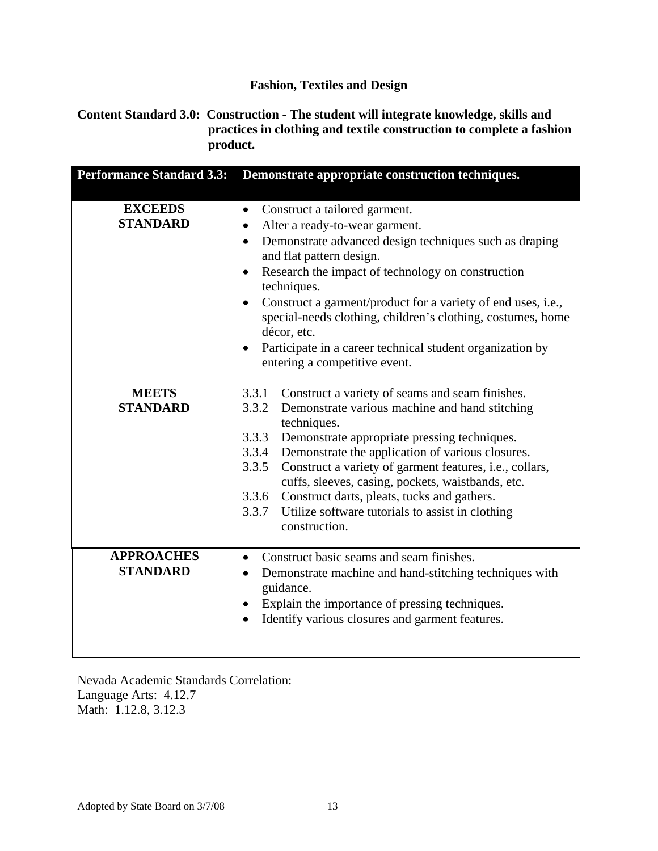#### **Content Standard 3.0: Construction - The student will integrate knowledge, skills and practices in clothing and textile construction to complete a fashion product.**

| <b>Performance Standard 3.3:</b>     | Demonstrate appropriate construction techniques.                                                                                                                                                                                                                                                                                                                                                                                                                                                                                                    |
|--------------------------------------|-----------------------------------------------------------------------------------------------------------------------------------------------------------------------------------------------------------------------------------------------------------------------------------------------------------------------------------------------------------------------------------------------------------------------------------------------------------------------------------------------------------------------------------------------------|
| <b>EXCEEDS</b><br><b>STANDARD</b>    | Construct a tailored garment.<br>$\bullet$<br>Alter a ready-to-wear garment.<br>$\bullet$<br>Demonstrate advanced design techniques such as draping<br>$\bullet$<br>and flat pattern design.<br>Research the impact of technology on construction<br>$\bullet$<br>techniques.<br>Construct a garment/product for a variety of end uses, i.e.,<br>$\bullet$<br>special-needs clothing, children's clothing, costumes, home<br>décor, etc.<br>Participate in a career technical student organization by<br>$\bullet$<br>entering a competitive event. |
| <b>MEETS</b><br><b>STANDARD</b>      | 3.3.1<br>Construct a variety of seams and seam finishes.<br>3.3.2<br>Demonstrate various machine and hand stitching<br>techniques.<br>Demonstrate appropriate pressing techniques.<br>3.3.3<br>3.3.4 Demonstrate the application of various closures.<br>3.3.5<br>Construct a variety of garment features, i.e., collars,<br>cuffs, sleeves, casing, pockets, waistbands, etc.<br>3.3.6 Construct darts, pleats, tucks and gathers.<br>3.3.7<br>Utilize software tutorials to assist in clothing<br>construction.                                   |
| <b>APPROACHES</b><br><b>STANDARD</b> | Construct basic seams and seam finishes.<br>$\bullet$<br>Demonstrate machine and hand-stitching techniques with<br>$\bullet$<br>guidance.<br>Explain the importance of pressing techniques.<br>$\bullet$<br>Identify various closures and garment features.                                                                                                                                                                                                                                                                                         |

Nevada Academic Standards Correlation: Language Arts: 4.12.7 Math: 1.12.8, 3.12.3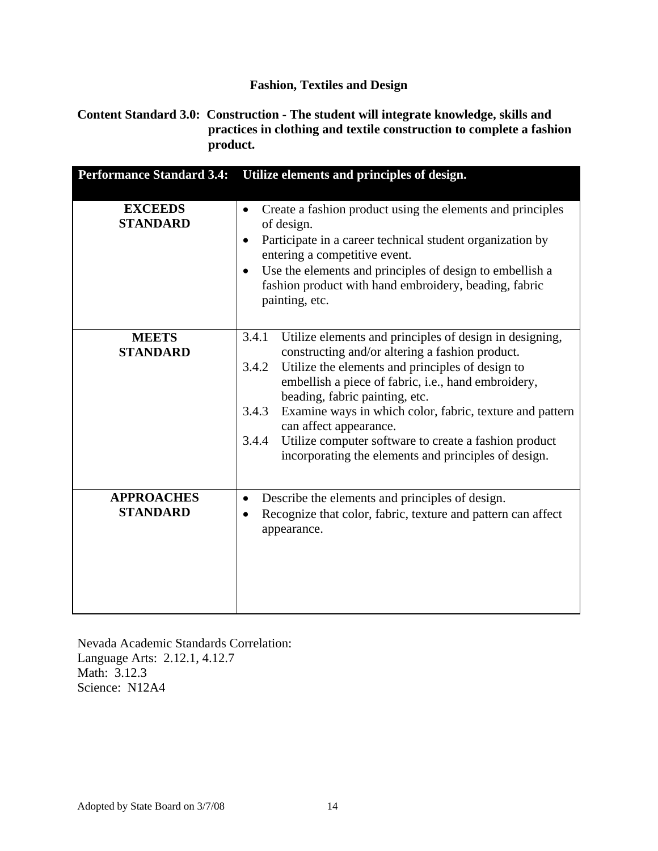#### **Content Standard 3.0: Construction - The student will integrate knowledge, skills and practices in clothing and textile construction to complete a fashion product.**

| <b>Performance Standard 3.4:</b>     | Utilize elements and principles of design.                                                                                                                                                                                                                                                                                                                                                                                                                                                         |
|--------------------------------------|----------------------------------------------------------------------------------------------------------------------------------------------------------------------------------------------------------------------------------------------------------------------------------------------------------------------------------------------------------------------------------------------------------------------------------------------------------------------------------------------------|
| <b>EXCEEDS</b><br><b>STANDARD</b>    | Create a fashion product using the elements and principles<br>of design.<br>Participate in a career technical student organization by<br>$\bullet$<br>entering a competitive event.<br>Use the elements and principles of design to embellish a<br>$\bullet$<br>fashion product with hand embroidery, beading, fabric<br>painting, etc.                                                                                                                                                            |
| <b>MEETS</b><br><b>STANDARD</b>      | Utilize elements and principles of design in designing,<br>3.4.1<br>constructing and/or altering a fashion product.<br>Utilize the elements and principles of design to<br>3.4.2<br>embellish a piece of fabric, i.e., hand embroidery,<br>beading, fabric painting, etc.<br>Examine ways in which color, fabric, texture and pattern<br>3.4.3<br>can affect appearance.<br>Utilize computer software to create a fashion product<br>3.4.4<br>incorporating the elements and principles of design. |
| <b>APPROACHES</b><br><b>STANDARD</b> | Describe the elements and principles of design.<br>$\bullet$<br>Recognize that color, fabric, texture and pattern can affect<br>appearance.                                                                                                                                                                                                                                                                                                                                                        |

Nevada Academic Standards Correlation: Language Arts: 2.12.1, 4.12.7 Math: 3.12.3 Science: N12A4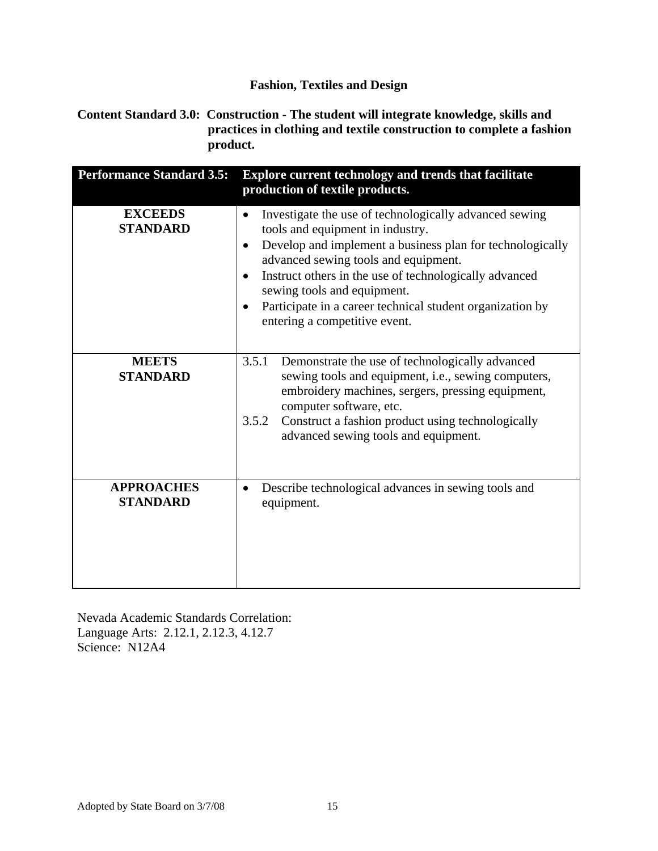**Content Standard 3.0: Construction - The student will integrate knowledge, skills and practices in clothing and textile construction to complete a fashion product.**

| <b>Performance Standard 3.5:</b>     | <b>Explore current technology and trends that facilitate</b><br>production of textile products.                                                                                                                                                                                                                                                                                                                       |
|--------------------------------------|-----------------------------------------------------------------------------------------------------------------------------------------------------------------------------------------------------------------------------------------------------------------------------------------------------------------------------------------------------------------------------------------------------------------------|
| <b>EXCEEDS</b><br><b>STANDARD</b>    | Investigate the use of technologically advanced sewing<br>٠<br>tools and equipment in industry.<br>Develop and implement a business plan for technologically<br>$\bullet$<br>advanced sewing tools and equipment.<br>Instruct others in the use of technologically advanced<br>$\bullet$<br>sewing tools and equipment.<br>Participate in a career technical student organization by<br>entering a competitive event. |
| <b>MEETS</b><br><b>STANDARD</b>      | 3.5.1<br>Demonstrate the use of technologically advanced<br>sewing tools and equipment, i.e., sewing computers,<br>embroidery machines, sergers, pressing equipment,<br>computer software, etc.<br>Construct a fashion product using technologically<br>3.5.2<br>advanced sewing tools and equipment.                                                                                                                 |
| <b>APPROACHES</b><br><b>STANDARD</b> | Describe technological advances in sewing tools and<br>$\bullet$<br>equipment.                                                                                                                                                                                                                                                                                                                                        |

Nevada Academic Standards Correlation: Language Arts: 2.12.1, 2.12.3, 4.12.7 Science: N12A4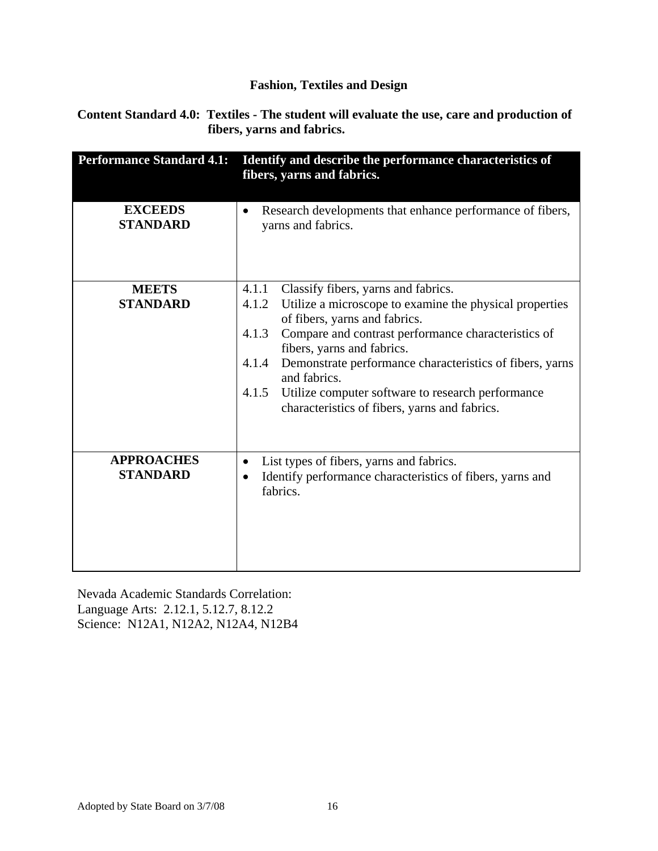**Content Standard 4.0: Textiles - The student will evaluate the use, care and production of fibers, yarns and fabrics.** 

| <b>Performance Standard 4.1:</b>     | Identify and describe the performance characteristics of<br>fibers, yarns and fabrics.                                                                                                                                                                                                                                                                                                                                                              |
|--------------------------------------|-----------------------------------------------------------------------------------------------------------------------------------------------------------------------------------------------------------------------------------------------------------------------------------------------------------------------------------------------------------------------------------------------------------------------------------------------------|
| <b>EXCEEDS</b><br><b>STANDARD</b>    | Research developments that enhance performance of fibers,<br>yarns and fabrics.                                                                                                                                                                                                                                                                                                                                                                     |
| <b>MEETS</b><br><b>STANDARD</b>      | Classify fibers, yarns and fabrics.<br>4.1.1<br>Utilize a microscope to examine the physical properties<br>4.1.2<br>of fibers, yarns and fabrics.<br>Compare and contrast performance characteristics of<br>4.1.3<br>fibers, yarns and fabrics.<br>Demonstrate performance characteristics of fibers, yarns<br>4.1.4<br>and fabrics.<br>4.1.5<br>Utilize computer software to research performance<br>characteristics of fibers, yarns and fabrics. |
| <b>APPROACHES</b><br><b>STANDARD</b> | List types of fibers, yarns and fabrics.<br>Identify performance characteristics of fibers, yarns and<br>fabrics.                                                                                                                                                                                                                                                                                                                                   |

Nevada Academic Standards Correlation: Language Arts: 2.12.1, 5.12.7, 8.12.2 Science: N12A1, N12A2, N12A4, N12B4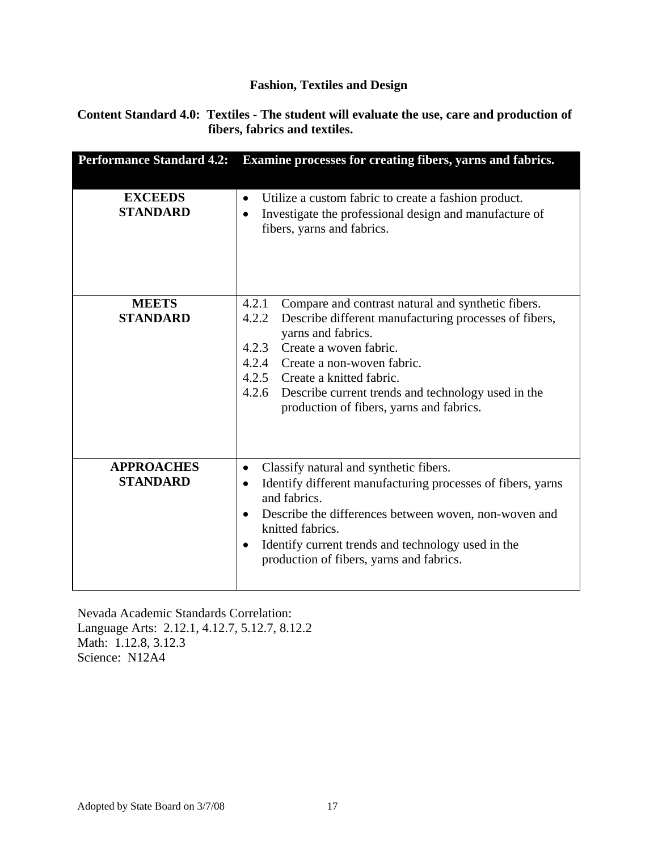#### **Content Standard 4.0: Textiles - The student will evaluate the use, care and production of fibers, fabrics and textiles.**

| <b>Performance Standard 4.2:</b>     | Examine processes for creating fibers, yarns and fabrics.                                                                                                                                                                                                                                                                                                               |
|--------------------------------------|-------------------------------------------------------------------------------------------------------------------------------------------------------------------------------------------------------------------------------------------------------------------------------------------------------------------------------------------------------------------------|
| <b>EXCEEDS</b><br><b>STANDARD</b>    | Utilize a custom fabric to create a fashion product.<br>$\bullet$<br>Investigate the professional design and manufacture of<br>٠<br>fibers, yarns and fabrics.                                                                                                                                                                                                          |
| <b>MEETS</b><br><b>STANDARD</b>      | 4.2.1<br>Compare and contrast natural and synthetic fibers.<br>4.2.2<br>Describe different manufacturing processes of fibers,<br>yarns and fabrics.<br>Create a woven fabric.<br>4.2.3<br>4.2.4<br>Create a non-woven fabric.<br>4.2.5 Create a knitted fabric.<br>4.2.6 Describe current trends and technology used in the<br>production of fibers, yarns and fabrics. |
| <b>APPROACHES</b><br><b>STANDARD</b> | Classify natural and synthetic fibers.<br>Identify different manufacturing processes of fibers, yarns<br>and fabrics.<br>Describe the differences between woven, non-woven and<br>$\bullet$<br>knitted fabrics.<br>Identify current trends and technology used in the<br>٠<br>production of fibers, yarns and fabrics.                                                  |

Nevada Academic Standards Correlation: Language Arts: 2.12.1, 4.12.7, 5.12.7, 8.12.2 Math: 1.12.8, 3.12.3 Science: N12A4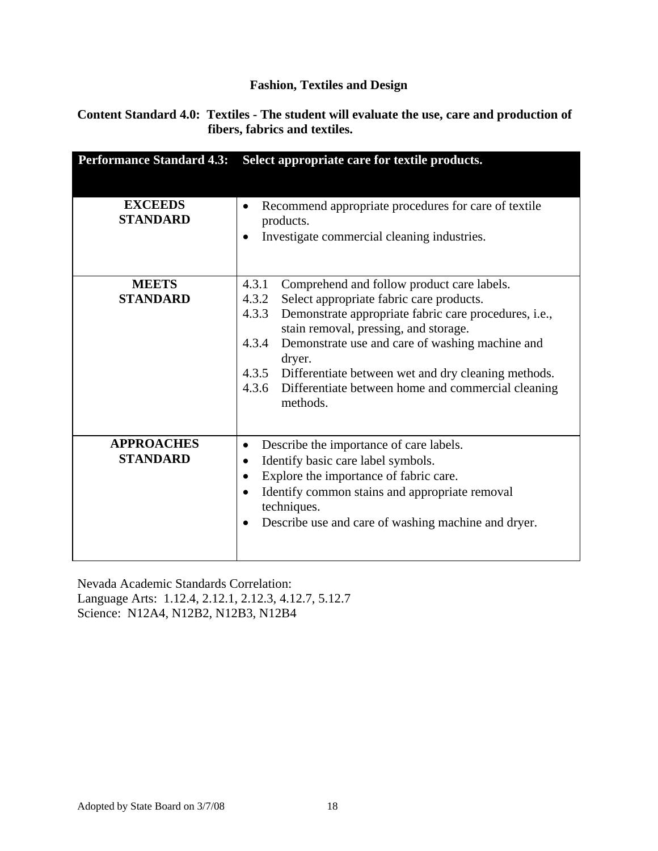### **Content Standard 4.0: Textiles - The student will evaluate the use, care and production of fibers, fabrics and textiles.**

| <b>Performance Standard 4.3:</b> | Select appropriate care for textile products.                                                           |
|----------------------------------|---------------------------------------------------------------------------------------------------------|
|                                  |                                                                                                         |
| <b>EXCEEDS</b>                   | Recommend appropriate procedures for care of textile                                                    |
| <b>STANDARD</b>                  | products.                                                                                               |
|                                  | Investigate commercial cleaning industries.<br>$\bullet$                                                |
|                                  |                                                                                                         |
|                                  |                                                                                                         |
| <b>MEETS</b>                     | 4.3.1<br>Comprehend and follow product care labels.                                                     |
| <b>STANDARD</b>                  | 4.3.2<br>Select appropriate fabric care products.                                                       |
|                                  | 4.3.3<br>Demonstrate appropriate fabric care procedures, i.e.,<br>stain removal, pressing, and storage. |
|                                  | Demonstrate use and care of washing machine and<br>4.3.4                                                |
|                                  | dryer.                                                                                                  |
|                                  | 4.3.5 Differentiate between wet and dry cleaning methods.                                               |
|                                  | 4.3.6<br>Differentiate between home and commercial cleaning                                             |
|                                  | methods.                                                                                                |
|                                  |                                                                                                         |
| <b>APPROACHES</b>                | Describe the importance of care labels.                                                                 |
| <b>STANDARD</b>                  | Identify basic care label symbols.<br>$\bullet$                                                         |
|                                  |                                                                                                         |
|                                  | Explore the importance of fabric care.                                                                  |
|                                  | Identify common stains and appropriate removal<br>techniques.                                           |
|                                  | Describe use and care of washing machine and dryer.                                                     |
|                                  |                                                                                                         |
|                                  |                                                                                                         |

Nevada Academic Standards Correlation: Language Arts: 1.12.4, 2.12.1, 2.12.3, 4.12.7, 5.12.7 Science: N12A4, N12B2, N12B3, N12B4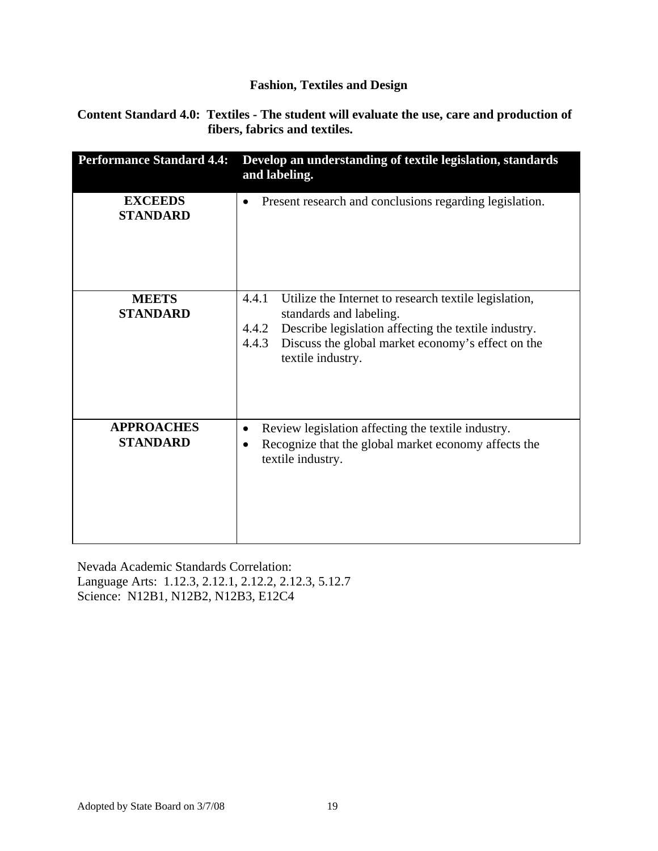**Content Standard 4.0: Textiles - The student will evaluate the use, care and production of fibers, fabrics and textiles.**

| <b>Performance Standard 4.4:</b>     | Develop an understanding of textile legislation, standards<br>and labeling.                                                                                                                                                                   |
|--------------------------------------|-----------------------------------------------------------------------------------------------------------------------------------------------------------------------------------------------------------------------------------------------|
| <b>EXCEEDS</b><br><b>STANDARD</b>    | Present research and conclusions regarding legislation.<br>$\bullet$                                                                                                                                                                          |
| <b>MEETS</b><br><b>STANDARD</b>      | 4.4.1<br>Utilize the Internet to research textile legislation,<br>standards and labeling.<br>Describe legislation affecting the textile industry.<br>4.4.2<br>Discuss the global market economy's effect on the<br>4.4.3<br>textile industry. |
| <b>APPROACHES</b><br><b>STANDARD</b> | Review legislation affecting the textile industry.<br>$\bullet$<br>Recognize that the global market economy affects the<br>٠<br>textile industry.                                                                                             |

Nevada Academic Standards Correlation: Language Arts: 1.12.3, 2.12.1, 2.12.2, 2.12.3, 5.12.7 Science: N12B1, N12B2, N12B3, E12C4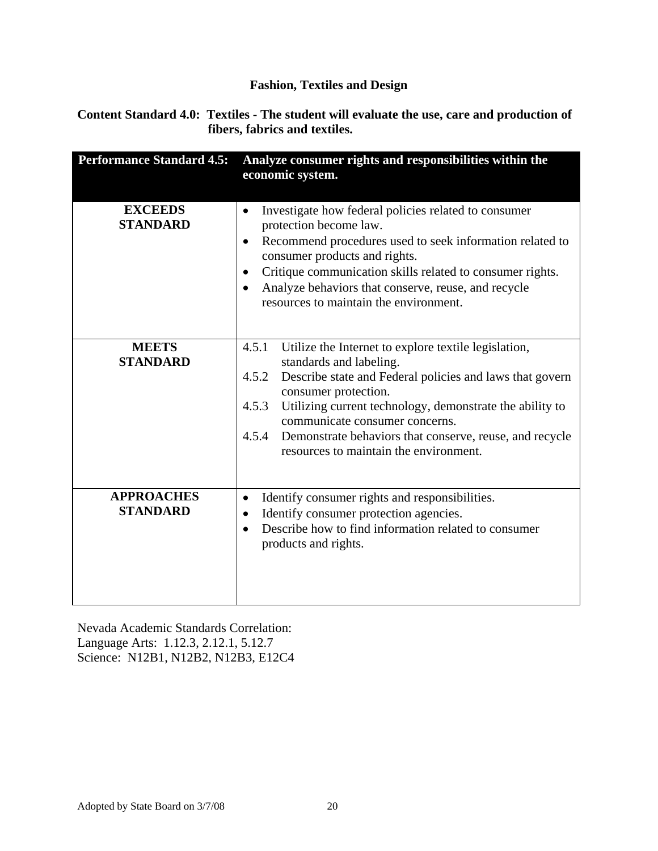**Content Standard 4.0: Textiles - The student will evaluate the use, care and production of fibers, fabrics and textiles.**

| <b>Performance Standard 4.5:</b>     | Analyze consumer rights and responsibilities within the<br>economic system.                                                                                                                                                                                                                                                                                                                                |
|--------------------------------------|------------------------------------------------------------------------------------------------------------------------------------------------------------------------------------------------------------------------------------------------------------------------------------------------------------------------------------------------------------------------------------------------------------|
| <b>EXCEEDS</b><br><b>STANDARD</b>    | Investigate how federal policies related to consumer<br>$\bullet$<br>protection become law.<br>Recommend procedures used to seek information related to<br>٠<br>consumer products and rights.<br>Critique communication skills related to consumer rights.<br>$\bullet$<br>Analyze behaviors that conserve, reuse, and recycle<br>$\bullet$<br>resources to maintain the environment.                      |
| <b>MEETS</b><br><b>STANDARD</b>      | 4.5.1<br>Utilize the Internet to explore textile legislation,<br>standards and labeling.<br>Describe state and Federal policies and laws that govern<br>4.5.2<br>consumer protection.<br>Utilizing current technology, demonstrate the ability to<br>4.5.3<br>communicate consumer concerns.<br>4.5.4<br>Demonstrate behaviors that conserve, reuse, and recycle<br>resources to maintain the environment. |
| <b>APPROACHES</b><br><b>STANDARD</b> | Identify consumer rights and responsibilities.<br>$\bullet$<br>Identify consumer protection agencies.<br>$\bullet$<br>Describe how to find information related to consumer<br>$\bullet$<br>products and rights.                                                                                                                                                                                            |

Nevada Academic Standards Correlation: Language Arts: 1.12.3, 2.12.1, 5.12.7 Science: N12B1, N12B2, N12B3, E12C4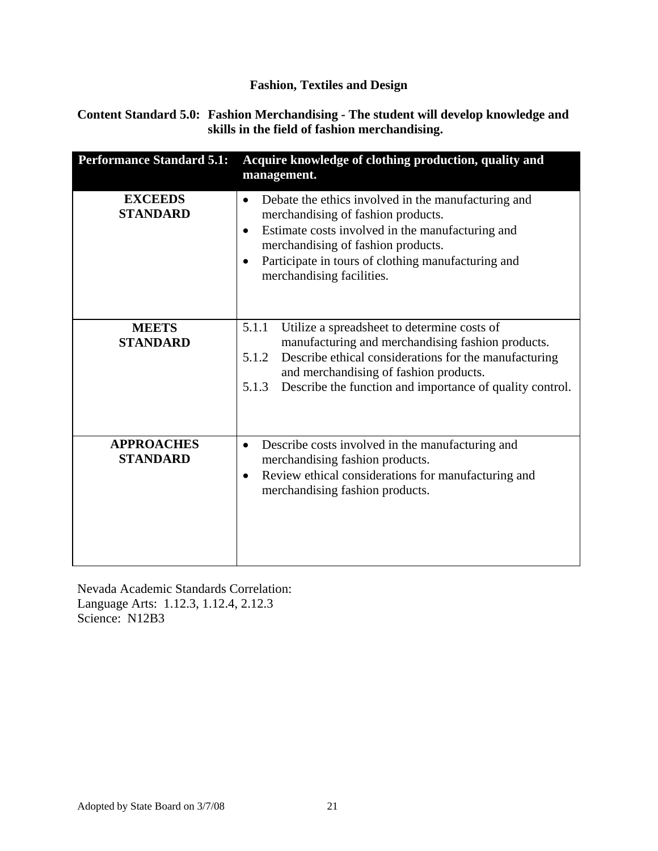#### **Content Standard 5.0: Fashion Merchandising - The student will develop knowledge and skills in the field of fashion merchandising.**

| <b>Performance Standard 5.1:</b>     | Acquire knowledge of clothing production, quality and<br>management.                                                                                                                                                                                                                                          |
|--------------------------------------|---------------------------------------------------------------------------------------------------------------------------------------------------------------------------------------------------------------------------------------------------------------------------------------------------------------|
| <b>EXCEEDS</b><br><b>STANDARD</b>    | Debate the ethics involved in the manufacturing and<br>$\bullet$<br>merchandising of fashion products.<br>Estimate costs involved in the manufacturing and<br>$\bullet$<br>merchandising of fashion products.<br>Participate in tours of clothing manufacturing and<br>$\bullet$<br>merchandising facilities. |
| <b>MEETS</b><br><b>STANDARD</b>      | Utilize a spreadsheet to determine costs of<br>5.1.1<br>manufacturing and merchandising fashion products.<br>Describe ethical considerations for the manufacturing<br>5.1.2<br>and merchandising of fashion products.<br>Describe the function and importance of quality control.<br>5.1.3                    |
| <b>APPROACHES</b><br><b>STANDARD</b> | Describe costs involved in the manufacturing and<br>$\bullet$<br>merchandising fashion products.<br>Review ethical considerations for manufacturing and<br>$\bullet$<br>merchandising fashion products.                                                                                                       |

Nevada Academic Standards Correlation: Language Arts: 1.12.3, 1.12.4, 2.12.3 Science: N12B3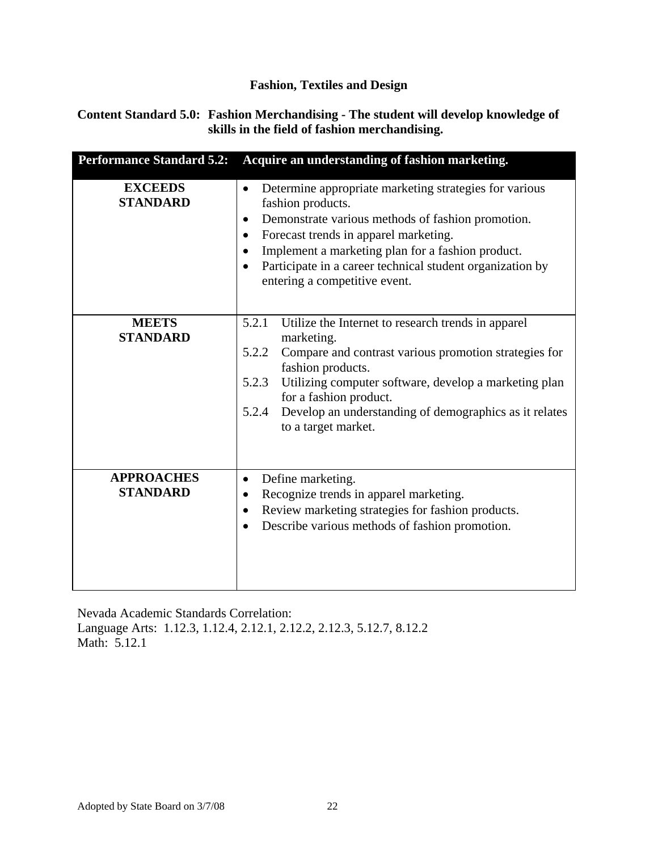### **Content Standard 5.0: Fashion Merchandising - The student will develop knowledge of skills in the field of fashion merchandising.**

| <b>Performance Standard 5.2:</b>     | Acquire an understanding of fashion marketing.                                                                                                                                                                                                                                                                                                                           |
|--------------------------------------|--------------------------------------------------------------------------------------------------------------------------------------------------------------------------------------------------------------------------------------------------------------------------------------------------------------------------------------------------------------------------|
| <b>EXCEEDS</b><br><b>STANDARD</b>    | Determine appropriate marketing strategies for various<br>$\bullet$<br>fashion products.<br>Demonstrate various methods of fashion promotion.<br>٠<br>Forecast trends in apparel marketing.<br>$\bullet$<br>Implement a marketing plan for a fashion product.<br>Participate in a career technical student organization by<br>$\bullet$<br>entering a competitive event. |
| <b>MEETS</b><br><b>STANDARD</b>      | 5.2.1<br>Utilize the Internet to research trends in apparel<br>marketing.<br>5.2.2<br>Compare and contrast various promotion strategies for<br>fashion products.<br>5.2.3<br>Utilizing computer software, develop a marketing plan<br>for a fashion product.<br>Develop an understanding of demographics as it relates<br>5.2.4<br>to a target market.                   |
| <b>APPROACHES</b><br><b>STANDARD</b> | Define marketing.<br>$\bullet$<br>Recognize trends in apparel marketing.<br>Review marketing strategies for fashion products.<br>$\bullet$<br>Describe various methods of fashion promotion.<br>$\bullet$                                                                                                                                                                |

Nevada Academic Standards Correlation: Language Arts: 1.12.3, 1.12.4, 2.12.1, 2.12.2, 2.12.3, 5.12.7, 8.12.2 Math: 5.12.1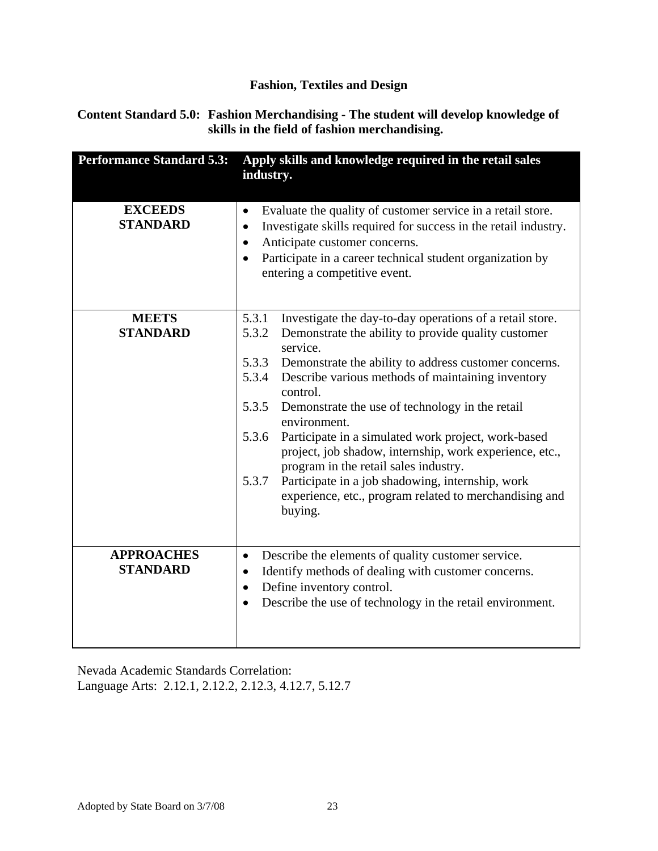### **Content Standard 5.0: Fashion Merchandising - The student will develop knowledge of skills in the field of fashion merchandising.**

| <b>Performance Standard 5.3:</b>     | Apply skills and knowledge required in the retail sales<br>industry.                                                                                                                                                                                                                              |
|--------------------------------------|---------------------------------------------------------------------------------------------------------------------------------------------------------------------------------------------------------------------------------------------------------------------------------------------------|
| <b>EXCEEDS</b><br><b>STANDARD</b>    | Evaluate the quality of customer service in a retail store.<br>٠<br>Investigate skills required for success in the retail industry.<br>$\bullet$<br>Anticipate customer concerns.<br>٠<br>Participate in a career technical student organization by<br>$\bullet$<br>entering a competitive event. |
| <b>MEETS</b>                         | 5.3.1<br>Investigate the day-to-day operations of a retail store.                                                                                                                                                                                                                                 |
| <b>STANDARD</b>                      | 5.3.2<br>Demonstrate the ability to provide quality customer<br>service.                                                                                                                                                                                                                          |
|                                      | 5.3.3<br>Demonstrate the ability to address customer concerns.                                                                                                                                                                                                                                    |
|                                      | 5.3.4<br>Describe various methods of maintaining inventory<br>control.                                                                                                                                                                                                                            |
|                                      | 5.3.5<br>Demonstrate the use of technology in the retail<br>environment.                                                                                                                                                                                                                          |
|                                      | Participate in a simulated work project, work-based<br>5.3.6<br>project, job shadow, internship, work experience, etc.,<br>program in the retail sales industry.                                                                                                                                  |
|                                      | 5.3.7<br>Participate in a job shadowing, internship, work<br>experience, etc., program related to merchandising and<br>buying.                                                                                                                                                                    |
|                                      |                                                                                                                                                                                                                                                                                                   |
| <b>APPROACHES</b><br><b>STANDARD</b> | Describe the elements of quality customer service.<br>$\bullet$<br>Identify methods of dealing with customer concerns.<br>٠<br>Define inventory control.<br>٠<br>Describe the use of technology in the retail environment.<br>$\bullet$                                                           |

Nevada Academic Standards Correlation: Language Arts: 2.12.1, 2.12.2, 2.12.3, 4.12.7, 5.12.7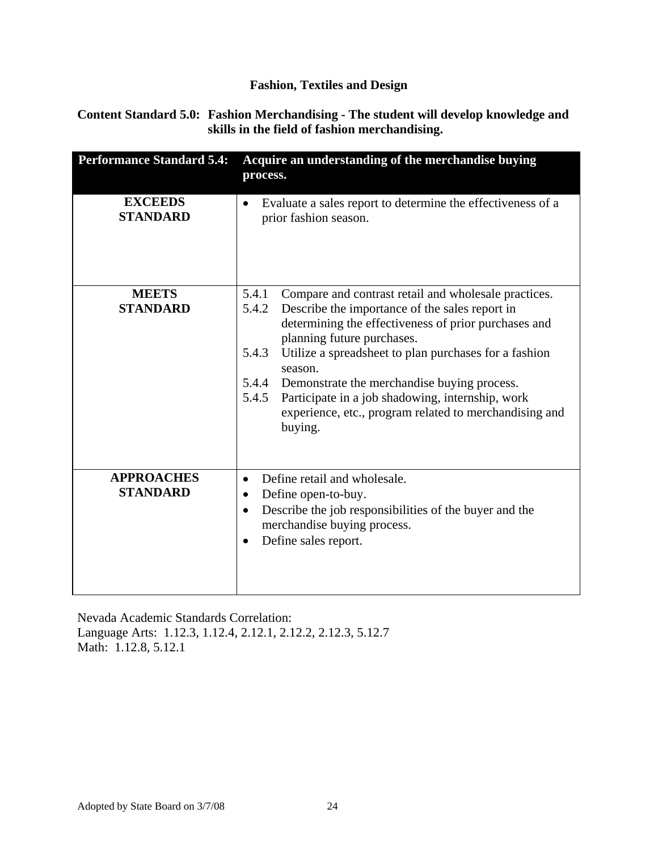#### **Content Standard 5.0: Fashion Merchandising - The student will develop knowledge and skills in the field of fashion merchandising.**

| <b>Performance Standard 5.4:</b>     | Acquire an understanding of the merchandise buying<br>process.                                                                                                                                                                                                                                                                                                                                                                                                                        |
|--------------------------------------|---------------------------------------------------------------------------------------------------------------------------------------------------------------------------------------------------------------------------------------------------------------------------------------------------------------------------------------------------------------------------------------------------------------------------------------------------------------------------------------|
| <b>EXCEEDS</b><br><b>STANDARD</b>    | Evaluate a sales report to determine the effectiveness of a<br>prior fashion season.                                                                                                                                                                                                                                                                                                                                                                                                  |
| <b>MEETS</b><br><b>STANDARD</b>      | 5.4.1<br>Compare and contrast retail and wholesale practices.<br>Describe the importance of the sales report in<br>5.4.2<br>determining the effectiveness of prior purchases and<br>planning future purchases.<br>5.4.3<br>Utilize a spreadsheet to plan purchases for a fashion<br>season.<br>5.4.4<br>Demonstrate the merchandise buying process.<br>Participate in a job shadowing, internship, work<br>5.4.5<br>experience, etc., program related to merchandising and<br>buying. |
| <b>APPROACHES</b><br><b>STANDARD</b> | Define retail and wholesale.<br>Define open-to-buy.<br>٠<br>Describe the job responsibilities of the buyer and the<br>$\bullet$<br>merchandise buying process.<br>Define sales report.<br>$\bullet$                                                                                                                                                                                                                                                                                   |

Nevada Academic Standards Correlation: Language Arts: 1.12.3, 1.12.4, 2.12.1, 2.12.2, 2.12.3, 5.12.7 Math: 1.12.8, 5.12.1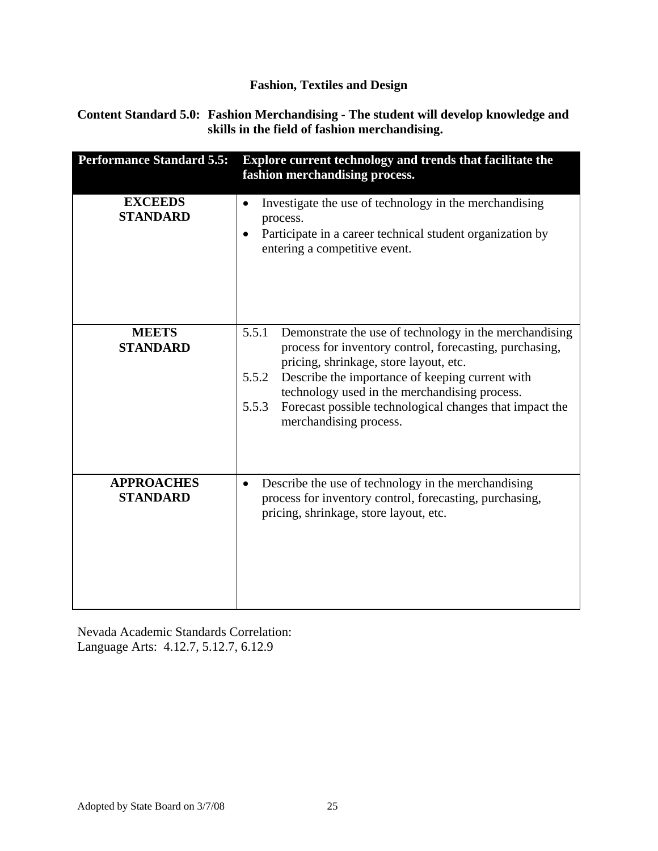#### **Content Standard 5.0: Fashion Merchandising - The student will develop knowledge and skills in the field of fashion merchandising.**

| <b>Performance Standard 5.5:</b>     | Explore current technology and trends that facilitate the<br>fashion merchandising process.                                                                                                                                                                                                                                                                                     |
|--------------------------------------|---------------------------------------------------------------------------------------------------------------------------------------------------------------------------------------------------------------------------------------------------------------------------------------------------------------------------------------------------------------------------------|
| <b>EXCEEDS</b><br><b>STANDARD</b>    | Investigate the use of technology in the merchandising<br>process.<br>Participate in a career technical student organization by<br>$\bullet$<br>entering a competitive event.                                                                                                                                                                                                   |
| <b>MEETS</b><br><b>STANDARD</b>      | Demonstrate the use of technology in the merchandising<br>5.5.1<br>process for inventory control, forecasting, purchasing,<br>pricing, shrinkage, store layout, etc.<br>5.5.2<br>Describe the importance of keeping current with<br>technology used in the merchandising process.<br>Forecast possible technological changes that impact the<br>5.5.3<br>merchandising process. |
| <b>APPROACHES</b><br><b>STANDARD</b> | Describe the use of technology in the merchandising<br>$\bullet$<br>process for inventory control, forecasting, purchasing,<br>pricing, shrinkage, store layout, etc.                                                                                                                                                                                                           |

Nevada Academic Standards Correlation: Language Arts: 4.12.7, 5.12.7, 6.12.9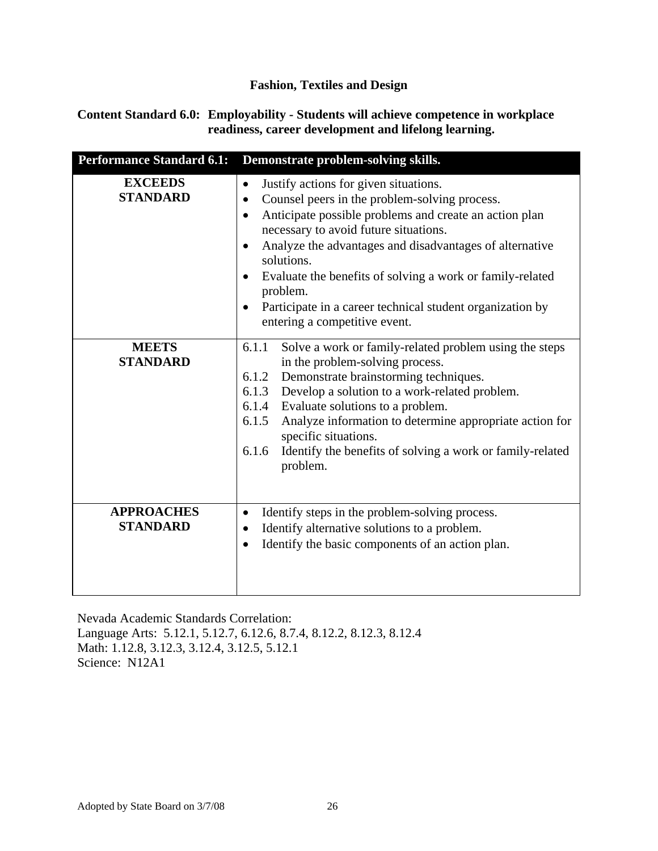#### **Content Standard 6.0: Employability - Students will achieve competence in workplace readiness, career development and lifelong learning.**

| <b>Performance Standard 6.1:</b>     | Demonstrate problem-solving skills.                                                                                                                                                                                                                                                                                                                                                                                                                                                           |
|--------------------------------------|-----------------------------------------------------------------------------------------------------------------------------------------------------------------------------------------------------------------------------------------------------------------------------------------------------------------------------------------------------------------------------------------------------------------------------------------------------------------------------------------------|
| <b>EXCEEDS</b><br><b>STANDARD</b>    | Justify actions for given situations.<br>$\bullet$<br>Counsel peers in the problem-solving process.<br>$\bullet$<br>Anticipate possible problems and create an action plan<br>$\bullet$<br>necessary to avoid future situations.<br>Analyze the advantages and disadvantages of alternative<br>$\bullet$<br>solutions.<br>Evaluate the benefits of solving a work or family-related<br>problem.<br>Participate in a career technical student organization by<br>entering a competitive event. |
| <b>MEETS</b><br><b>STANDARD</b>      | 6.1.1<br>Solve a work or family-related problem using the steps<br>in the problem-solving process.<br>6.1.2 Demonstrate brainstorming techniques.<br>Develop a solution to a work-related problem.<br>6.1.3<br>6.1.4<br>Evaluate solutions to a problem.<br>Analyze information to determine appropriate action for<br>6.1.5<br>specific situations.<br>Identify the benefits of solving a work or family-related<br>6.1.6<br>problem.                                                        |
| <b>APPROACHES</b><br><b>STANDARD</b> | Identify steps in the problem-solving process.<br>$\bullet$<br>Identify alternative solutions to a problem.<br>$\bullet$<br>Identify the basic components of an action plan.<br>$\bullet$                                                                                                                                                                                                                                                                                                     |

Nevada Academic Standards Correlation: Language Arts: 5.12.1, 5.12.7, 6.12.6, 8.7.4, 8.12.2, 8.12.3, 8.12.4 Math: 1.12.8, 3.12.3, 3.12.4, 3.12.5, 5.12.1 Science: N12A1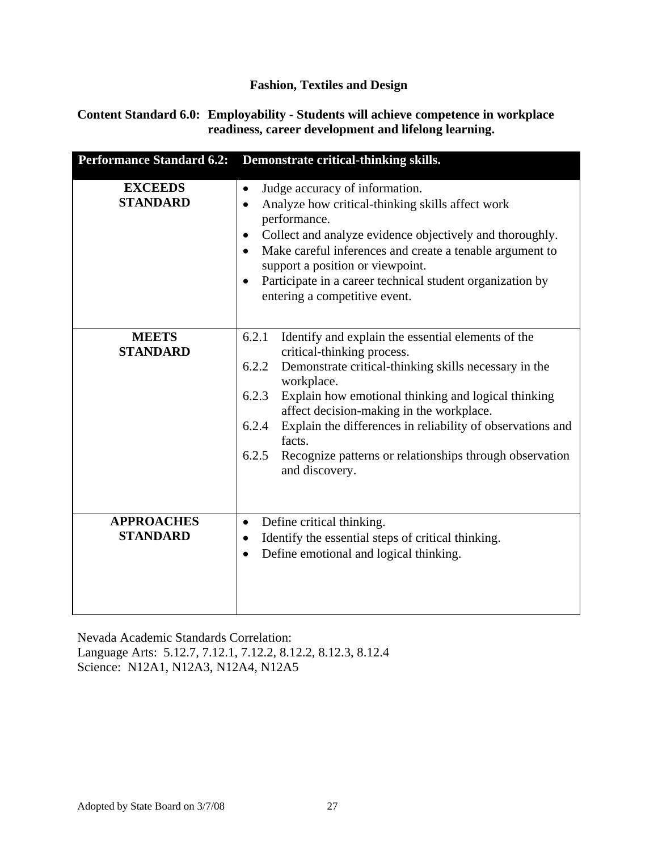#### **Content Standard 6.0: Employability - Students will achieve competence in workplace readiness, career development and lifelong learning.**

| <b>Performance Standard 6.2:</b>     | Demonstrate critical-thinking skills.                                                                                                                                                                                                                                                                                                                                                                                                                        |
|--------------------------------------|--------------------------------------------------------------------------------------------------------------------------------------------------------------------------------------------------------------------------------------------------------------------------------------------------------------------------------------------------------------------------------------------------------------------------------------------------------------|
| <b>EXCEEDS</b><br><b>STANDARD</b>    | Judge accuracy of information.<br>$\bullet$<br>Analyze how critical-thinking skills affect work<br>$\bullet$<br>performance.<br>Collect and analyze evidence objectively and thoroughly.<br>$\bullet$<br>Make careful inferences and create a tenable argument to<br>$\bullet$<br>support a position or viewpoint.<br>Participate in a career technical student organization by<br>entering a competitive event.                                             |
| <b>MEETS</b><br><b>STANDARD</b>      | 6.2.1<br>Identify and explain the essential elements of the<br>critical-thinking process.<br>Demonstrate critical-thinking skills necessary in the<br>6.2.2<br>workplace.<br>6.2.3<br>Explain how emotional thinking and logical thinking<br>affect decision-making in the workplace.<br>Explain the differences in reliability of observations and<br>6.2.4<br>facts.<br>6.2.5<br>Recognize patterns or relationships through observation<br>and discovery. |
| <b>APPROACHES</b><br><b>STANDARD</b> | Define critical thinking.<br>$\bullet$<br>Identify the essential steps of critical thinking.<br>$\bullet$<br>Define emotional and logical thinking.<br>$\bullet$                                                                                                                                                                                                                                                                                             |

Nevada Academic Standards Correlation: Language Arts: 5.12.7, 7.12.1, 7.12.2, 8.12.2, 8.12.3, 8.12.4 Science: N12A1, N12A3, N12A4, N12A5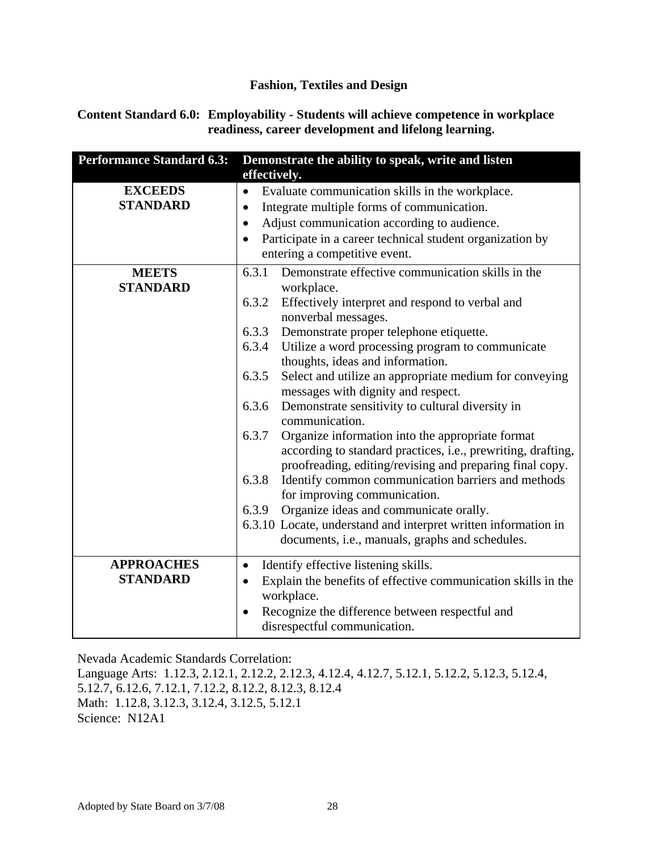#### **Content Standard 6.0: Employability - Students will achieve competence in workplace readiness, career development and lifelong learning.**

| <b>Performance Standard 6.3:</b>     | Demonstrate the ability to speak, write and listen<br>effectively.                                                                                                                                                                                                                                                                                                                                                                                                                                                                                                                                                                                                                                                                                                                                                                                                                                                                                                       |
|--------------------------------------|--------------------------------------------------------------------------------------------------------------------------------------------------------------------------------------------------------------------------------------------------------------------------------------------------------------------------------------------------------------------------------------------------------------------------------------------------------------------------------------------------------------------------------------------------------------------------------------------------------------------------------------------------------------------------------------------------------------------------------------------------------------------------------------------------------------------------------------------------------------------------------------------------------------------------------------------------------------------------|
| <b>EXCEEDS</b><br><b>STANDARD</b>    | Evaluate communication skills in the workplace.<br>$\bullet$<br>Integrate multiple forms of communication.<br>$\bullet$<br>Adjust communication according to audience.<br>$\bullet$<br>Participate in a career technical student organization by<br>$\bullet$<br>entering a competitive event.                                                                                                                                                                                                                                                                                                                                                                                                                                                                                                                                                                                                                                                                           |
| <b>MEETS</b><br><b>STANDARD</b>      | Demonstrate effective communication skills in the<br>6.3.1<br>workplace.<br>6.3.2<br>Effectively interpret and respond to verbal and<br>nonverbal messages.<br>6.3.3<br>Demonstrate proper telephone etiquette.<br>Utilize a word processing program to communicate<br>6.3.4<br>thoughts, ideas and information.<br>6.3.5<br>Select and utilize an appropriate medium for conveying<br>messages with dignity and respect.<br>6.3.6<br>Demonstrate sensitivity to cultural diversity in<br>communication.<br>6.3.7<br>Organize information into the appropriate format<br>according to standard practices, i.e., prewriting, drafting,<br>proofreading, editing/revising and preparing final copy.<br>6.3.8<br>Identify common communication barriers and methods<br>for improving communication.<br>Organize ideas and communicate orally.<br>6.3.9<br>6.3.10 Locate, understand and interpret written information in<br>documents, i.e., manuals, graphs and schedules. |
| <b>APPROACHES</b><br><b>STANDARD</b> | Identify effective listening skills.<br>$\bullet$<br>Explain the benefits of effective communication skills in the<br>$\bullet$<br>workplace.<br>Recognize the difference between respectful and<br>disrespectful communication.                                                                                                                                                                                                                                                                                                                                                                                                                                                                                                                                                                                                                                                                                                                                         |

Nevada Academic Standards Correlation:

Language Arts: 1.12.3, 2.12.1, 2.12.2, 2.12.3, 4.12.4, 4.12.7, 5.12.1, 5.12.2, 5.12.3, 5.12.4, 5.12.7, 6.12.6, 7.12.1, 7.12.2, 8.12.2, 8.12.3, 8.12.4 Math: 1.12.8, 3.12.3, 3.12.4, 3.12.5, 5.12.1 Science: N12A1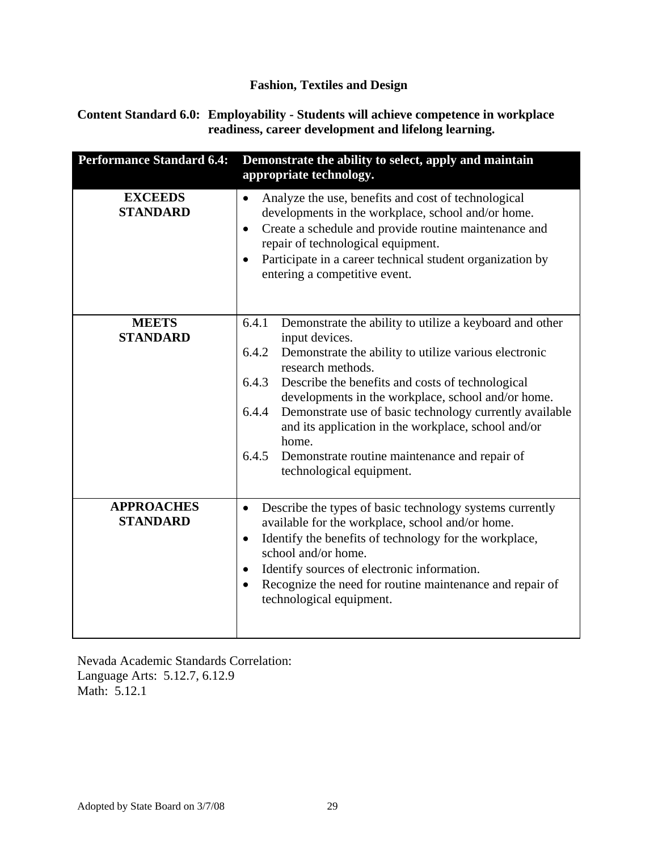#### **Content Standard 6.0: Employability - Students will achieve competence in workplace readiness, career development and lifelong learning.**

| <b>Performance Standard 6.4:</b>     | Demonstrate the ability to select, apply and maintain<br>appropriate technology.                                                                                                                                                                                                                                                                                                                                                                                                                                       |
|--------------------------------------|------------------------------------------------------------------------------------------------------------------------------------------------------------------------------------------------------------------------------------------------------------------------------------------------------------------------------------------------------------------------------------------------------------------------------------------------------------------------------------------------------------------------|
| <b>EXCEEDS</b><br><b>STANDARD</b>    | Analyze the use, benefits and cost of technological<br>$\bullet$<br>developments in the workplace, school and/or home.<br>Create a schedule and provide routine maintenance and<br>$\bullet$<br>repair of technological equipment.<br>Participate in a career technical student organization by<br>entering a competitive event.                                                                                                                                                                                       |
| <b>MEETS</b><br><b>STANDARD</b>      | 6.4.1<br>Demonstrate the ability to utilize a keyboard and other<br>input devices.<br>6.4.2<br>Demonstrate the ability to utilize various electronic<br>research methods.<br>6.4.3<br>Describe the benefits and costs of technological<br>developments in the workplace, school and/or home.<br>Demonstrate use of basic technology currently available<br>6.4.4<br>and its application in the workplace, school and/or<br>home.<br>6.4.5<br>Demonstrate routine maintenance and repair of<br>technological equipment. |
| <b>APPROACHES</b><br><b>STANDARD</b> | Describe the types of basic technology systems currently<br>$\bullet$<br>available for the workplace, school and/or home.<br>Identify the benefits of technology for the workplace,<br>$\bullet$<br>school and/or home.<br>Identify sources of electronic information.<br>$\bullet$<br>Recognize the need for routine maintenance and repair of<br>$\bullet$<br>technological equipment.                                                                                                                               |

Nevada Academic Standards Correlation: Language Arts: 5.12.7, 6.12.9 Math: 5.12.1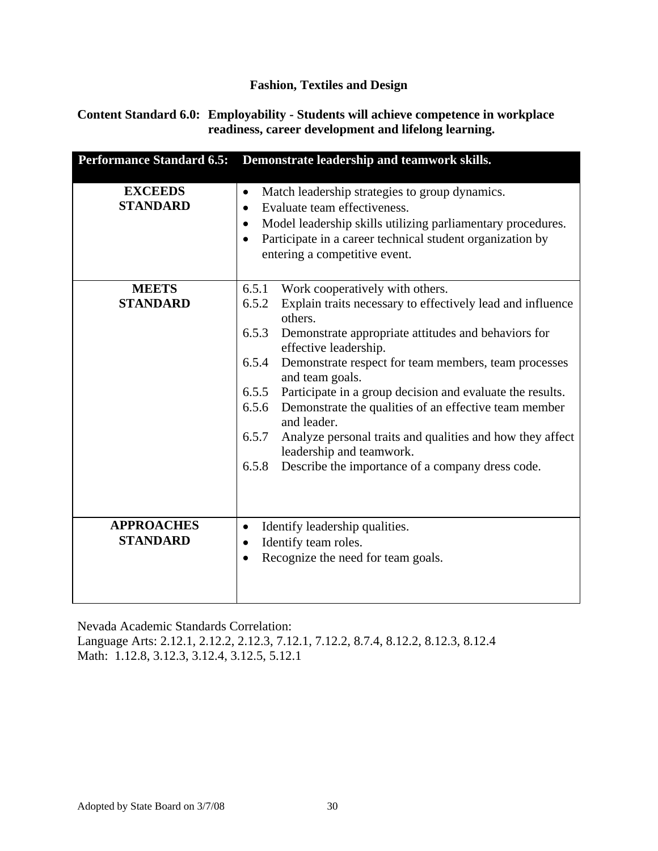#### **Content Standard 6.0: Employability - Students will achieve competence in workplace readiness, career development and lifelong learning.**

| <b>Performance Standard 6.5:</b>     | Demonstrate leadership and teamwork skills.                                                                                                                                                                                                                                                                                                                                                                                                                                                                                                                                                                                   |
|--------------------------------------|-------------------------------------------------------------------------------------------------------------------------------------------------------------------------------------------------------------------------------------------------------------------------------------------------------------------------------------------------------------------------------------------------------------------------------------------------------------------------------------------------------------------------------------------------------------------------------------------------------------------------------|
| <b>EXCEEDS</b><br><b>STANDARD</b>    | Match leadership strategies to group dynamics.<br>٠<br>Evaluate team effectiveness.<br>$\bullet$<br>Model leadership skills utilizing parliamentary procedures.<br>٠<br>Participate in a career technical student organization by<br>$\bullet$<br>entering a competitive event.                                                                                                                                                                                                                                                                                                                                               |
| <b>MEETS</b><br><b>STANDARD</b>      | Work cooperatively with others.<br>6.5.1<br>Explain traits necessary to effectively lead and influence<br>6.5.2<br>others.<br>6.5.3<br>Demonstrate appropriate attitudes and behaviors for<br>effective leadership.<br>6.5.4<br>Demonstrate respect for team members, team processes<br>and team goals.<br>Participate in a group decision and evaluate the results.<br>6.5.5<br>Demonstrate the qualities of an effective team member<br>6.5.6<br>and leader.<br>6.5.7<br>Analyze personal traits and qualities and how they affect<br>leadership and teamwork.<br>6.5.8<br>Describe the importance of a company dress code. |
| <b>APPROACHES</b><br><b>STANDARD</b> | Identify leadership qualities.<br>$\bullet$<br>Identify team roles.<br>Recognize the need for team goals.<br>$\bullet$                                                                                                                                                                                                                                                                                                                                                                                                                                                                                                        |

Nevada Academic Standards Correlation:

Language Arts: 2.12.1, 2.12.2, 2.12.3, 7.12.1, 7.12.2, 8.7.4, 8.12.2, 8.12.3, 8.12.4 Math: 1.12.8, 3.12.3, 3.12.4, 3.12.5, 5.12.1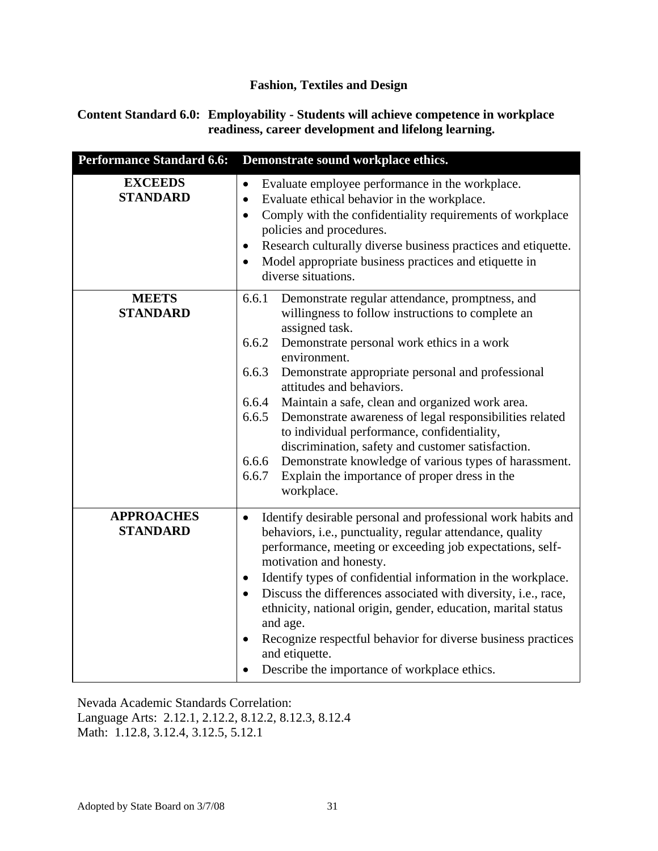#### **Content Standard 6.0: Employability - Students will achieve competence in workplace readiness, career development and lifelong learning.**

| <b>Performance Standard 6.6:</b>     | Demonstrate sound workplace ethics.                                                                                                                                                                                                                                                                                                                                                                                                                                                                                                                                                                                                                                            |
|--------------------------------------|--------------------------------------------------------------------------------------------------------------------------------------------------------------------------------------------------------------------------------------------------------------------------------------------------------------------------------------------------------------------------------------------------------------------------------------------------------------------------------------------------------------------------------------------------------------------------------------------------------------------------------------------------------------------------------|
| <b>EXCEEDS</b><br><b>STANDARD</b>    | Evaluate employee performance in the workplace.<br>$\bullet$<br>Evaluate ethical behavior in the workplace.<br>$\bullet$<br>Comply with the confidentiality requirements of workplace<br>$\bullet$<br>policies and procedures.<br>Research culturally diverse business practices and etiquette.<br>$\bullet$<br>Model appropriate business practices and etiquette in<br>$\bullet$<br>diverse situations.                                                                                                                                                                                                                                                                      |
| <b>MEETS</b><br><b>STANDARD</b>      | 6.6.1<br>Demonstrate regular attendance, promptness, and<br>willingness to follow instructions to complete an<br>assigned task.<br>6.6.2<br>Demonstrate personal work ethics in a work<br>environment.<br>6.6.3<br>Demonstrate appropriate personal and professional<br>attitudes and behaviors.<br>6.6.4<br>Maintain a safe, clean and organized work area.<br>Demonstrate awareness of legal responsibilities related<br>6.6.5<br>to individual performance, confidentiality,<br>discrimination, safety and customer satisfaction.<br>Demonstrate knowledge of various types of harassment.<br>6.6.6<br>Explain the importance of proper dress in the<br>6.6.7<br>workplace. |
| <b>APPROACHES</b><br><b>STANDARD</b> | Identify desirable personal and professional work habits and<br>$\bullet$<br>behaviors, i.e., punctuality, regular attendance, quality<br>performance, meeting or exceeding job expectations, self-<br>motivation and honesty.<br>Identify types of confidential information in the workplace.<br>$\bullet$<br>Discuss the differences associated with diversity, i.e., race,<br>$\bullet$<br>ethnicity, national origin, gender, education, marital status<br>and age.<br>Recognize respectful behavior for diverse business practices<br>and etiquette.<br>Describe the importance of workplace ethics.                                                                      |

Nevada Academic Standards Correlation: Language Arts: 2.12.1, 2.12.2, 8.12.2, 8.12.3, 8.12.4 Math: 1.12.8, 3.12.4, 3.12.5, 5.12.1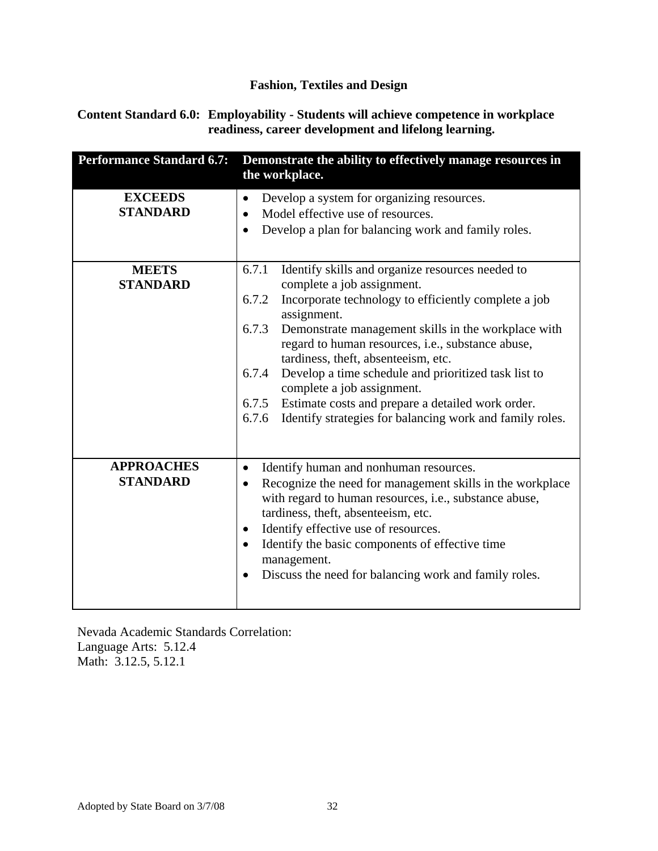#### **Content Standard 6.0: Employability - Students will achieve competence in workplace readiness, career development and lifelong learning.**

| <b>Performance Standard 6.7:</b>     | Demonstrate the ability to effectively manage resources in<br>the workplace.                                                                                                                                                                                                                                                                                                                                                                                                                                                                                          |
|--------------------------------------|-----------------------------------------------------------------------------------------------------------------------------------------------------------------------------------------------------------------------------------------------------------------------------------------------------------------------------------------------------------------------------------------------------------------------------------------------------------------------------------------------------------------------------------------------------------------------|
| <b>EXCEEDS</b><br><b>STANDARD</b>    | Develop a system for organizing resources.<br>$\bullet$<br>Model effective use of resources.<br>$\bullet$<br>Develop a plan for balancing work and family roles.                                                                                                                                                                                                                                                                                                                                                                                                      |
| <b>MEETS</b><br><b>STANDARD</b>      | 6.7.1<br>Identify skills and organize resources needed to<br>complete a job assignment.<br>6.7.2<br>Incorporate technology to efficiently complete a job<br>assignment.<br>6.7.3<br>Demonstrate management skills in the workplace with<br>regard to human resources, i.e., substance abuse,<br>tardiness, theft, absenteeism, etc.<br>Develop a time schedule and prioritized task list to<br>6.7.4<br>complete a job assignment.<br>Estimate costs and prepare a detailed work order.<br>6.7.5<br>Identify strategies for balancing work and family roles.<br>6.7.6 |
| <b>APPROACHES</b><br><b>STANDARD</b> | Identify human and nonhuman resources.<br>٠<br>Recognize the need for management skills in the workplace<br>$\bullet$<br>with regard to human resources, i.e., substance abuse,<br>tardiness, theft, absenteeism, etc.<br>Identify effective use of resources.<br>$\bullet$<br>Identify the basic components of effective time<br>$\bullet$<br>management.<br>Discuss the need for balancing work and family roles.<br>$\bullet$                                                                                                                                      |

Nevada Academic Standards Correlation: Language Arts: 5.12.4 Math: 3.12.5, 5.12.1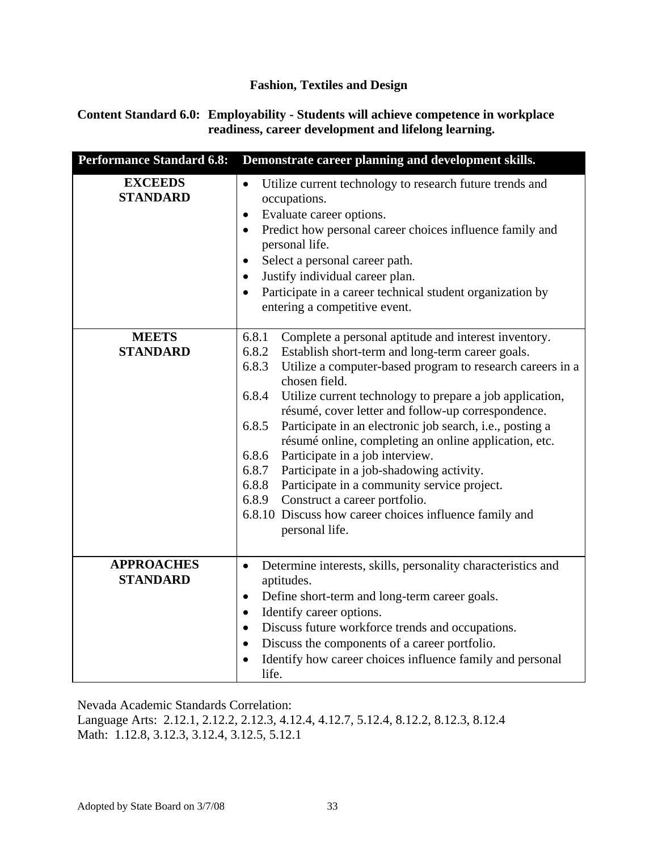#### **Content Standard 6.0: Employability - Students will achieve competence in workplace readiness, career development and lifelong learning.**

| <b>Performance Standard 6.8:</b>     | Demonstrate career planning and development skills.                                                                                                                                                                                                                                                                                                                                                                                                                                                                                                                                                                                                                                                                                                    |
|--------------------------------------|--------------------------------------------------------------------------------------------------------------------------------------------------------------------------------------------------------------------------------------------------------------------------------------------------------------------------------------------------------------------------------------------------------------------------------------------------------------------------------------------------------------------------------------------------------------------------------------------------------------------------------------------------------------------------------------------------------------------------------------------------------|
| <b>EXCEEDS</b><br><b>STANDARD</b>    | Utilize current technology to research future trends and<br>$\bullet$<br>occupations.<br>Evaluate career options.<br>$\bullet$<br>Predict how personal career choices influence family and<br>$\bullet$<br>personal life.<br>Select a personal career path.<br>$\bullet$<br>Justify individual career plan.<br>$\bullet$<br>Participate in a career technical student organization by<br>$\bullet$<br>entering a competitive event.                                                                                                                                                                                                                                                                                                                    |
| <b>MEETS</b><br><b>STANDARD</b>      | Complete a personal aptitude and interest inventory.<br>6.8.1<br>6.8.2 Establish short-term and long-term career goals.<br>6.8.3<br>Utilize a computer-based program to research careers in a<br>chosen field.<br>6.8.4<br>Utilize current technology to prepare a job application,<br>résumé, cover letter and follow-up correspondence.<br>6.8.5<br>Participate in an electronic job search, i.e., posting a<br>résumé online, completing an online application, etc.<br>Participate in a job interview.<br>6.8.6<br>6.8.7<br>Participate in a job-shadowing activity.<br>6.8.8<br>Participate in a community service project.<br>Construct a career portfolio.<br>6.8.9<br>6.8.10 Discuss how career choices influence family and<br>personal life. |
| <b>APPROACHES</b><br><b>STANDARD</b> | Determine interests, skills, personality characteristics and<br>$\bullet$<br>aptitudes.<br>Define short-term and long-term career goals.<br>$\bullet$<br>Identify career options.<br>$\bullet$<br>Discuss future workforce trends and occupations.<br>$\bullet$<br>Discuss the components of a career portfolio.<br>$\bullet$<br>Identify how career choices influence family and personal<br>life.                                                                                                                                                                                                                                                                                                                                                    |

Nevada Academic Standards Correlation:

Language Arts: 2.12.1, 2.12.2, 2.12.3, 4.12.4, 4.12.7, 5.12.4, 8.12.2, 8.12.3, 8.12.4 Math: 1.12.8, 3.12.3, 3.12.4, 3.12.5, 5.12.1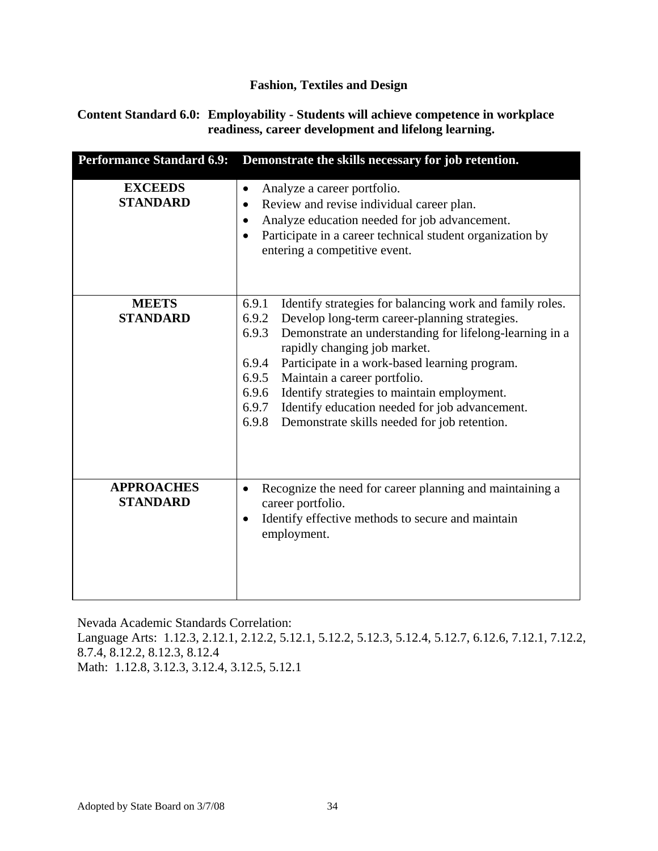#### **Content Standard 6.0: Employability - Students will achieve competence in workplace readiness, career development and lifelong learning.**

| <b>Performance Standard 6.9:</b>     | Demonstrate the skills necessary for job retention.                                                                                                                                                                                                                                                                                                                                                                                                                                                            |
|--------------------------------------|----------------------------------------------------------------------------------------------------------------------------------------------------------------------------------------------------------------------------------------------------------------------------------------------------------------------------------------------------------------------------------------------------------------------------------------------------------------------------------------------------------------|
| <b>EXCEEDS</b><br><b>STANDARD</b>    | Analyze a career portfolio.<br>٠<br>Review and revise individual career plan.<br>$\bullet$<br>Analyze education needed for job advancement.<br>٠<br>Participate in a career technical student organization by<br>$\bullet$<br>entering a competitive event.                                                                                                                                                                                                                                                    |
| <b>MEETS</b><br><b>STANDARD</b>      | Identify strategies for balancing work and family roles.<br>6.9.1<br>6.9.2<br>Develop long-term career-planning strategies.<br>6.9.3<br>Demonstrate an understanding for lifelong-learning in a<br>rapidly changing job market.<br>Participate in a work-based learning program.<br>6.9.4<br>6.9.5<br>Maintain a career portfolio.<br>Identify strategies to maintain employment.<br>6.9.6<br>6.9.7<br>Identify education needed for job advancement.<br>Demonstrate skills needed for job retention.<br>6.9.8 |
| <b>APPROACHES</b><br><b>STANDARD</b> | Recognize the need for career planning and maintaining a<br>٠<br>career portfolio.<br>Identify effective methods to secure and maintain<br>$\bullet$<br>employment.                                                                                                                                                                                                                                                                                                                                            |

Nevada Academic Standards Correlation:

Language Arts: 1.12.3, 2.12.1, 2.12.2, 5.12.1, 5.12.2, 5.12.3, 5.12.4, 5.12.7, 6.12.6, 7.12.1, 7.12.2, 8.7.4, 8.12.2, 8.12.3, 8.12.4

Math: 1.12.8, 3.12.3, 3.12.4, 3.12.5, 5.12.1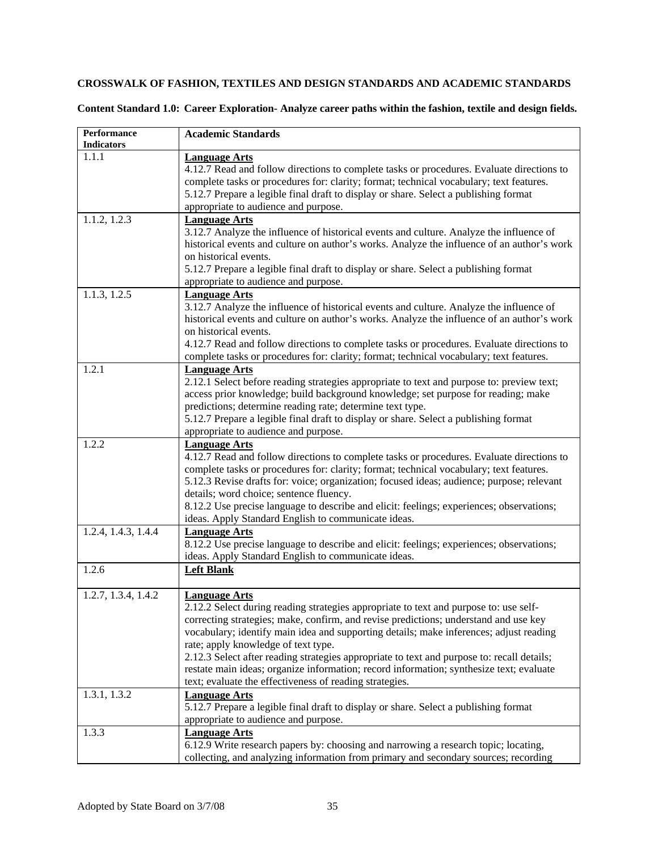#### **CROSSWALK OF FASHION, TEXTILES AND DESIGN STANDARDS AND ACADEMIC STANDARDS**

**Content Standard 1.0: Career Exploration- Analyze career paths within the fashion, textile and design fields.** 

| Performance<br><b>Indicators</b> | <b>Academic Standards</b>                                                                                                                       |
|----------------------------------|-------------------------------------------------------------------------------------------------------------------------------------------------|
| 1.1.1                            | <b>Language Arts</b>                                                                                                                            |
|                                  | 4.12.7 Read and follow directions to complete tasks or procedures. Evaluate directions to                                                       |
|                                  | complete tasks or procedures for: clarity; format; technical vocabulary; text features.                                                         |
|                                  | 5.12.7 Prepare a legible final draft to display or share. Select a publishing format                                                            |
|                                  | appropriate to audience and purpose.                                                                                                            |
|                                  |                                                                                                                                                 |
| 1.1.2, 1.2.3                     | <b>Language Arts</b>                                                                                                                            |
|                                  | 3.12.7 Analyze the influence of historical events and culture. Analyze the influence of                                                         |
|                                  | historical events and culture on author's works. Analyze the influence of an author's work<br>on historical events.                             |
|                                  | 5.12.7 Prepare a legible final draft to display or share. Select a publishing format                                                            |
|                                  |                                                                                                                                                 |
|                                  | appropriate to audience and purpose.                                                                                                            |
| 1.1.3, 1.2.5                     | <b>Language Arts</b>                                                                                                                            |
|                                  | 3.12.7 Analyze the influence of historical events and culture. Analyze the influence of                                                         |
|                                  | historical events and culture on author's works. Analyze the influence of an author's work                                                      |
|                                  | on historical events.                                                                                                                           |
|                                  | 4.12.7 Read and follow directions to complete tasks or procedures. Evaluate directions to                                                       |
|                                  | complete tasks or procedures for: clarity; format; technical vocabulary; text features.                                                         |
| 1.2.1                            | <b>Language Arts</b>                                                                                                                            |
|                                  | 2.12.1 Select before reading strategies appropriate to text and purpose to: preview text;                                                       |
|                                  | access prior knowledge; build background knowledge; set purpose for reading; make                                                               |
|                                  | predictions; determine reading rate; determine text type.                                                                                       |
|                                  | 5.12.7 Prepare a legible final draft to display or share. Select a publishing format                                                            |
|                                  | appropriate to audience and purpose.                                                                                                            |
| 1.2.2                            | <b>Language Arts</b>                                                                                                                            |
|                                  | 4.12.7 Read and follow directions to complete tasks or procedures. Evaluate directions to                                                       |
|                                  | complete tasks or procedures for: clarity; format; technical vocabulary; text features.                                                         |
|                                  | 5.12.3 Revise drafts for: voice; organization; focused ideas; audience; purpose; relevant                                                       |
|                                  | details; word choice; sentence fluency.                                                                                                         |
|                                  | 8.12.2 Use precise language to describe and elicit: feelings; experiences; observations;                                                        |
|                                  | ideas. Apply Standard English to communicate ideas.                                                                                             |
| 1.2.4, 1.4.3, 1.4.4              | <b>Language Arts</b>                                                                                                                            |
|                                  | 8.12.2 Use precise language to describe and elicit: feelings; experiences; observations;<br>ideas. Apply Standard English to communicate ideas. |
| 1.2.6                            |                                                                                                                                                 |
|                                  | <b>Left Blank</b>                                                                                                                               |
| 1.2.7, 1.3.4, 1.4.2              | <b>Language Arts</b>                                                                                                                            |
|                                  | 2.12.2 Select during reading strategies appropriate to text and purpose to: use self-                                                           |
|                                  | correcting strategies; make, confirm, and revise predictions; understand and use key                                                            |
|                                  | vocabulary; identify main idea and supporting details; make inferences; adjust reading                                                          |
|                                  | rate; apply knowledge of text type.                                                                                                             |
|                                  | 2.12.3 Select after reading strategies appropriate to text and purpose to: recall details;                                                      |
|                                  | restate main ideas; organize information; record information; synthesize text; evaluate                                                         |
|                                  | text; evaluate the effectiveness of reading strategies.                                                                                         |
| 1.3.1, 1.3.2                     | <b>Language Arts</b>                                                                                                                            |
|                                  | 5.12.7 Prepare a legible final draft to display or share. Select a publishing format                                                            |
|                                  | appropriate to audience and purpose.                                                                                                            |
| 1.3.3                            | <b>Language Arts</b>                                                                                                                            |
|                                  | 6.12.9 Write research papers by: choosing and narrowing a research topic; locating,                                                             |
|                                  | collecting, and analyzing information from primary and secondary sources; recording                                                             |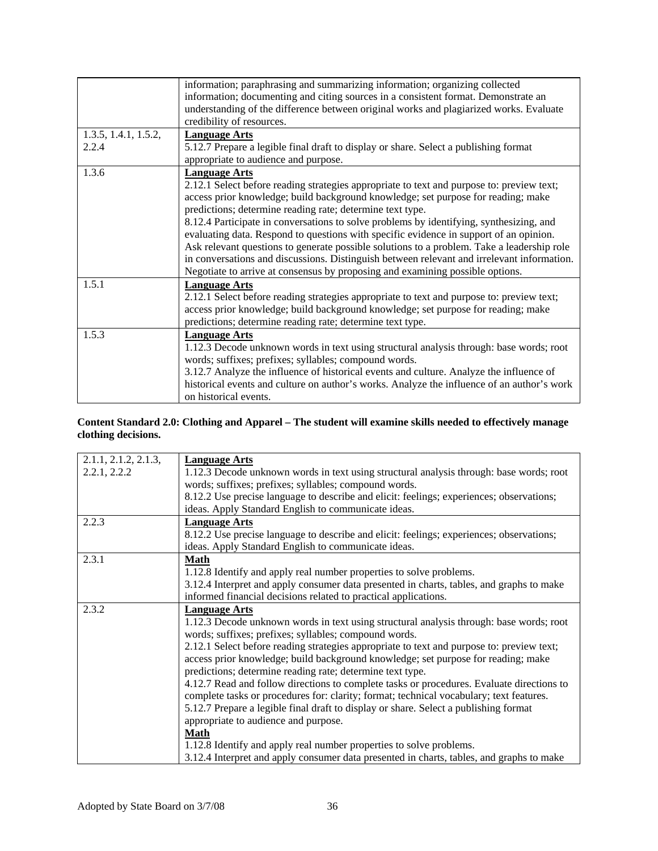|                      | information; paraphrasing and summarizing information; organizing collected                |
|----------------------|--------------------------------------------------------------------------------------------|
|                      | information; documenting and citing sources in a consistent format. Demonstrate an         |
|                      | understanding of the difference between original works and plagiarized works. Evaluate     |
|                      | credibility of resources.                                                                  |
| 1.3.5, 1.4.1, 1.5.2, | <b>Language Arts</b>                                                                       |
| 2.2.4                | 5.12.7 Prepare a legible final draft to display or share. Select a publishing format       |
|                      | appropriate to audience and purpose.                                                       |
| 1.3.6                | <b>Language Arts</b>                                                                       |
|                      | 2.12.1 Select before reading strategies appropriate to text and purpose to: preview text;  |
|                      | access prior knowledge; build background knowledge; set purpose for reading; make          |
|                      | predictions; determine reading rate; determine text type.                                  |
|                      | 8.12.4 Participate in conversations to solve problems by identifying, synthesizing, and    |
|                      | evaluating data. Respond to questions with specific evidence in support of an opinion.     |
|                      | Ask relevant questions to generate possible solutions to a problem. Take a leadership role |
|                      | in conversations and discussions. Distinguish between relevant and irrelevant information. |
|                      | Negotiate to arrive at consensus by proposing and examining possible options.              |
| 1.5.1                | <b>Language Arts</b>                                                                       |
|                      | 2.12.1 Select before reading strategies appropriate to text and purpose to: preview text;  |
|                      | access prior knowledge; build background knowledge; set purpose for reading; make          |
|                      | predictions; determine reading rate; determine text type.                                  |
| 1.5.3                | <b>Language Arts</b>                                                                       |
|                      | 1.12.3 Decode unknown words in text using structural analysis through: base words; root    |
|                      | words; suffixes; prefixes; syllables; compound words.                                      |
|                      | 3.12.7 Analyze the influence of historical events and culture. Analyze the influence of    |
|                      | historical events and culture on author's works. Analyze the influence of an author's work |
|                      | on historical events.                                                                      |

#### **Content Standard 2.0: Clothing and Apparel – The student will examine skills needed to effectively manage clothing decisions.**

| 2.1.1, 2.1.2, 2.1.3, | <b>Language Arts</b>                                                                      |
|----------------------|-------------------------------------------------------------------------------------------|
| 2.2.1, 2.2.2         | 1.12.3 Decode unknown words in text using structural analysis through: base words; root   |
|                      | words; suffixes; prefixes; syllables; compound words.                                     |
|                      | 8.12.2 Use precise language to describe and elicit: feelings; experiences; observations;  |
|                      | ideas. Apply Standard English to communicate ideas.                                       |
| 2.2.3                | <b>Language Arts</b>                                                                      |
|                      | 8.12.2 Use precise language to describe and elicit: feelings; experiences; observations;  |
|                      | ideas. Apply Standard English to communicate ideas.                                       |
| 2.3.1                | <b>Math</b>                                                                               |
|                      | 1.12.8 Identify and apply real number properties to solve problems.                       |
|                      | 3.12.4 Interpret and apply consumer data presented in charts, tables, and graphs to make  |
|                      | informed financial decisions related to practical applications.                           |
| 2.3.2                | <b>Language Arts</b>                                                                      |
|                      | 1.12.3 Decode unknown words in text using structural analysis through: base words; root   |
|                      | words; suffixes; prefixes; syllables; compound words.                                     |
|                      | 2.12.1 Select before reading strategies appropriate to text and purpose to: preview text; |
|                      | access prior knowledge; build background knowledge; set purpose for reading; make         |
|                      | predictions; determine reading rate; determine text type.                                 |
|                      | 4.12.7 Read and follow directions to complete tasks or procedures. Evaluate directions to |
|                      | complete tasks or procedures for: clarity; format; technical vocabulary; text features.   |
|                      | 5.12.7 Prepare a legible final draft to display or share. Select a publishing format      |
|                      | appropriate to audience and purpose.                                                      |
|                      | <b>Math</b>                                                                               |
|                      | 1.12.8 Identify and apply real number properties to solve problems.                       |
|                      | 3.12.4 Interpret and apply consumer data presented in charts, tables, and graphs to make  |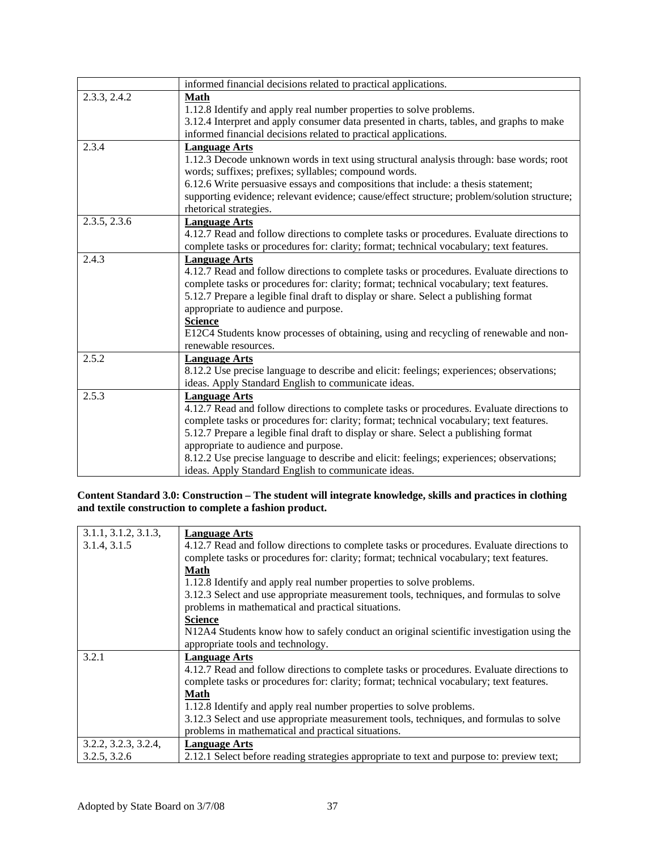|              | informed financial decisions related to practical applications.                             |
|--------------|---------------------------------------------------------------------------------------------|
| 2.3.3, 2.4.2 | <b>Math</b>                                                                                 |
|              | 1.12.8 Identify and apply real number properties to solve problems.                         |
|              | 3.12.4 Interpret and apply consumer data presented in charts, tables, and graphs to make    |
|              | informed financial decisions related to practical applications.                             |
| 2.3.4        | <b>Language Arts</b>                                                                        |
|              | 1.12.3 Decode unknown words in text using structural analysis through: base words; root     |
|              | words; suffixes; prefixes; syllables; compound words.                                       |
|              | 6.12.6 Write persuasive essays and compositions that include: a thesis statement;           |
|              | supporting evidence; relevant evidence; cause/effect structure; problem/solution structure; |
|              | rhetorical strategies.                                                                      |
| 2.3.5, 2.3.6 | <b>Language Arts</b>                                                                        |
|              | 4.12.7 Read and follow directions to complete tasks or procedures. Evaluate directions to   |
|              | complete tasks or procedures for: clarity; format; technical vocabulary; text features.     |
| 2.4.3        | <b>Language Arts</b>                                                                        |
|              | 4.12.7 Read and follow directions to complete tasks or procedures. Evaluate directions to   |
|              | complete tasks or procedures for: clarity; format; technical vocabulary; text features.     |
|              | 5.12.7 Prepare a legible final draft to display or share. Select a publishing format        |
|              | appropriate to audience and purpose.                                                        |
|              | <b>Science</b>                                                                              |
|              | E12C4 Students know processes of obtaining, using and recycling of renewable and non-       |
|              | renewable resources.                                                                        |
| 2.5.2        | <b>Language Arts</b>                                                                        |
|              | 8.12.2 Use precise language to describe and elicit: feelings; experiences; observations;    |
|              | ideas. Apply Standard English to communicate ideas.                                         |
| 2.5.3        | <b>Language Arts</b>                                                                        |
|              | 4.12.7 Read and follow directions to complete tasks or procedures. Evaluate directions to   |
|              | complete tasks or procedures for: clarity; format; technical vocabulary; text features.     |
|              | 5.12.7 Prepare a legible final draft to display or share. Select a publishing format        |
|              | appropriate to audience and purpose.                                                        |
|              | 8.12.2 Use precise language to describe and elicit: feelings; experiences; observations;    |
|              | ideas. Apply Standard English to communicate ideas.                                         |

**Content Standard 3.0: Construction – The student will integrate knowledge, skills and practices in clothing and textile construction to complete a fashion product.** 

| 3.1.1, 3.1.2, 3.1.3, | <b>Language Arts</b>                                                                      |
|----------------------|-------------------------------------------------------------------------------------------|
| 3.1.4, 3.1.5         | 4.12.7 Read and follow directions to complete tasks or procedures. Evaluate directions to |
|                      | complete tasks or procedures for: clarity; format; technical vocabulary; text features.   |
|                      | <b>Math</b>                                                                               |
|                      | 1.12.8 Identify and apply real number properties to solve problems.                       |
|                      | 3.12.3 Select and use appropriate measurement tools, techniques, and formulas to solve    |
|                      | problems in mathematical and practical situations.                                        |
|                      | <b>Science</b>                                                                            |
|                      | N12A4 Students know how to safely conduct an original scientific investigation using the  |
|                      | appropriate tools and technology.                                                         |
| 3.2.1                | Language Arts                                                                             |
|                      | 4.12.7 Read and follow directions to complete tasks or procedures. Evaluate directions to |
|                      | complete tasks or procedures for: clarity; format; technical vocabulary; text features.   |
|                      | <b>Math</b>                                                                               |
|                      | 1.12.8 Identify and apply real number properties to solve problems.                       |
|                      | 3.12.3 Select and use appropriate measurement tools, techniques, and formulas to solve    |
|                      | problems in mathematical and practical situations.                                        |
| 3.2.2, 3.2.3, 3.2.4, | <b>Language Arts</b>                                                                      |
| 3.2.5, 3.2.6         | 2.12.1 Select before reading strategies appropriate to text and purpose to: preview text; |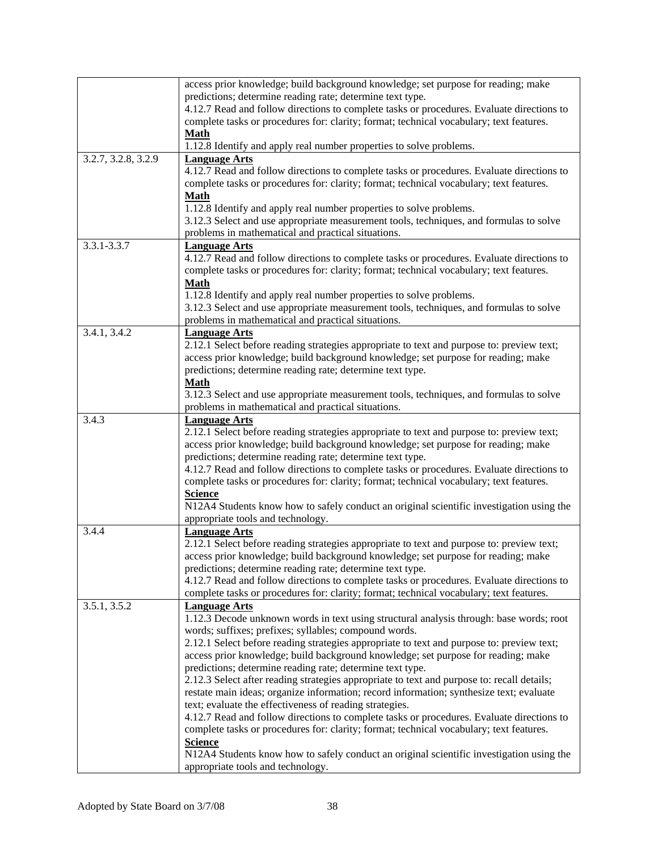|                     | access prior knowledge; build background knowledge; set purpose for reading; make<br>predictions; determine reading rate; determine text type.<br>4.12.7 Read and follow directions to complete tasks or procedures. Evaluate directions to<br>complete tasks or procedures for: clarity; format; technical vocabulary; text features.<br><b>Math</b><br>1.12.8 Identify and apply real number properties to solve problems.                                                                                                                                                                                                                                                                                                                                                                                                                                                                                                                                                                                           |
|---------------------|------------------------------------------------------------------------------------------------------------------------------------------------------------------------------------------------------------------------------------------------------------------------------------------------------------------------------------------------------------------------------------------------------------------------------------------------------------------------------------------------------------------------------------------------------------------------------------------------------------------------------------------------------------------------------------------------------------------------------------------------------------------------------------------------------------------------------------------------------------------------------------------------------------------------------------------------------------------------------------------------------------------------|
| 3.2.7, 3.2.8, 3.2.9 | <b>Language Arts</b><br>4.12.7 Read and follow directions to complete tasks or procedures. Evaluate directions to<br>complete tasks or procedures for: clarity; format; technical vocabulary; text features.<br><b>Math</b>                                                                                                                                                                                                                                                                                                                                                                                                                                                                                                                                                                                                                                                                                                                                                                                            |
|                     | 1.12.8 Identify and apply real number properties to solve problems.<br>3.12.3 Select and use appropriate measurement tools, techniques, and formulas to solve<br>problems in mathematical and practical situations.                                                                                                                                                                                                                                                                                                                                                                                                                                                                                                                                                                                                                                                                                                                                                                                                    |
| 3.3.1-3.3.7         | <b>Language Arts</b><br>4.12.7 Read and follow directions to complete tasks or procedures. Evaluate directions to<br>complete tasks or procedures for: clarity; format; technical vocabulary; text features.<br><b>Math</b><br>1.12.8 Identify and apply real number properties to solve problems.                                                                                                                                                                                                                                                                                                                                                                                                                                                                                                                                                                                                                                                                                                                     |
|                     | 3.12.3 Select and use appropriate measurement tools, techniques, and formulas to solve<br>problems in mathematical and practical situations.                                                                                                                                                                                                                                                                                                                                                                                                                                                                                                                                                                                                                                                                                                                                                                                                                                                                           |
| 3.4.1, 3.4.2        | <b>Language Arts</b><br>2.12.1 Select before reading strategies appropriate to text and purpose to: preview text;<br>access prior knowledge; build background knowledge; set purpose for reading; make<br>predictions; determine reading rate; determine text type.<br><b>Math</b><br>3.12.3 Select and use appropriate measurement tools, techniques, and formulas to solve                                                                                                                                                                                                                                                                                                                                                                                                                                                                                                                                                                                                                                           |
|                     | problems in mathematical and practical situations.                                                                                                                                                                                                                                                                                                                                                                                                                                                                                                                                                                                                                                                                                                                                                                                                                                                                                                                                                                     |
| 3.4.3               | <b>Language Arts</b><br>2.12.1 Select before reading strategies appropriate to text and purpose to: preview text;<br>access prior knowledge; build background knowledge; set purpose for reading; make<br>predictions; determine reading rate; determine text type.<br>4.12.7 Read and follow directions to complete tasks or procedures. Evaluate directions to<br>complete tasks or procedures for: clarity; format; technical vocabulary; text features.<br><b>Science</b><br>N12A4 Students know how to safely conduct an original scientific investigation using the<br>appropriate tools and technology.                                                                                                                                                                                                                                                                                                                                                                                                         |
| 3.4.4               | <b>Language Arts</b><br>2.12.1 Select before reading strategies appropriate to text and purpose to: preview text;<br>access prior knowledge; build background knowledge; set purpose for reading; make<br>predictions; determine reading rate; determine text type.<br>4.12.7 Read and follow directions to complete tasks or procedures. Evaluate directions to<br>complete tasks or procedures for: clarity; format; technical vocabulary; text features.                                                                                                                                                                                                                                                                                                                                                                                                                                                                                                                                                            |
| 3.5.1, 3.5.2        | <b>Language Arts</b><br>1.12.3 Decode unknown words in text using structural analysis through: base words; root<br>words; suffixes; prefixes; syllables; compound words.<br>2.12.1 Select before reading strategies appropriate to text and purpose to: preview text;<br>access prior knowledge; build background knowledge; set purpose for reading; make<br>predictions; determine reading rate; determine text type.<br>2.12.3 Select after reading strategies appropriate to text and purpose to: recall details;<br>restate main ideas; organize information; record information; synthesize text; evaluate<br>text; evaluate the effectiveness of reading strategies.<br>4.12.7 Read and follow directions to complete tasks or procedures. Evaluate directions to<br>complete tasks or procedures for: clarity; format; technical vocabulary; text features.<br><b>Science</b><br>N12A4 Students know how to safely conduct an original scientific investigation using the<br>appropriate tools and technology. |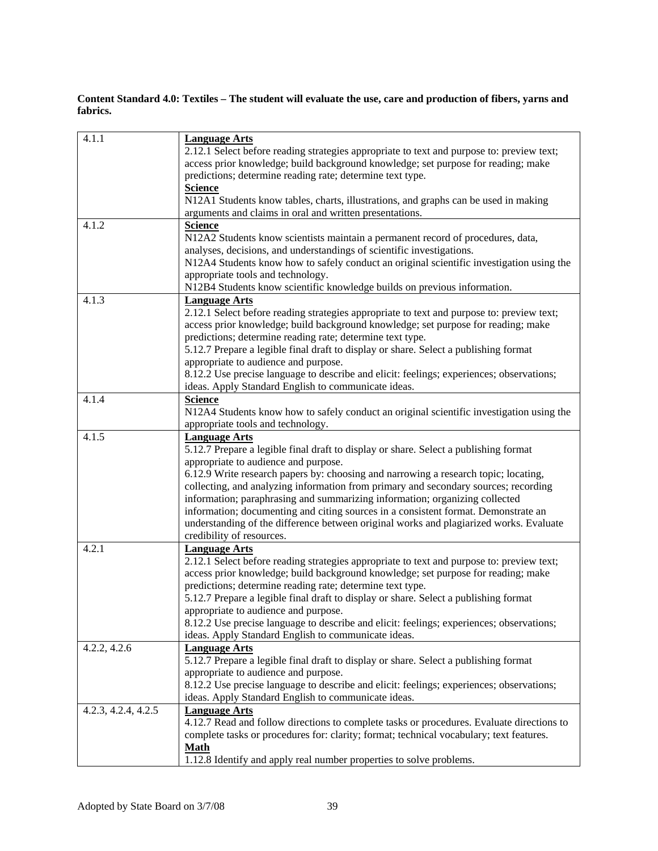#### **Content Standard 4.0: Textiles – The student will evaluate the use, care and production of fibers, yarns and fabrics.**

| 4.1.1               | <b>Language Arts</b>                                                                      |
|---------------------|-------------------------------------------------------------------------------------------|
|                     | 2.12.1 Select before reading strategies appropriate to text and purpose to: preview text; |
|                     | access prior knowledge; build background knowledge; set purpose for reading; make         |
|                     | predictions; determine reading rate; determine text type.                                 |
|                     | <b>Science</b>                                                                            |
|                     | N12A1 Students know tables, charts, illustrations, and graphs can be used in making       |
|                     | arguments and claims in oral and written presentations.                                   |
| 4.1.2               | <b>Science</b>                                                                            |
|                     | N12A2 Students know scientists maintain a permanent record of procedures, data,           |
|                     | analyses, decisions, and understandings of scientific investigations.                     |
|                     | N12A4 Students know how to safely conduct an original scientific investigation using the  |
|                     | appropriate tools and technology.                                                         |
|                     | N12B4 Students know scientific knowledge builds on previous information.                  |
| 4.1.3               | <b>Language Arts</b>                                                                      |
|                     | 2.12.1 Select before reading strategies appropriate to text and purpose to: preview text; |
|                     | access prior knowledge; build background knowledge; set purpose for reading; make         |
|                     | predictions; determine reading rate; determine text type.                                 |
|                     | 5.12.7 Prepare a legible final draft to display or share. Select a publishing format      |
|                     | appropriate to audience and purpose.                                                      |
|                     | 8.12.2 Use precise language to describe and elicit: feelings; experiences; observations;  |
|                     | ideas. Apply Standard English to communicate ideas.                                       |
| 4.1.4               | <b>Science</b>                                                                            |
|                     | N12A4 Students know how to safely conduct an original scientific investigation using the  |
|                     | appropriate tools and technology.                                                         |
| 4.1.5               | <b>Language Arts</b>                                                                      |
|                     | 5.12.7 Prepare a legible final draft to display or share. Select a publishing format      |
|                     | appropriate to audience and purpose.                                                      |
|                     | 6.12.9 Write research papers by: choosing and narrowing a research topic; locating,       |
|                     | collecting, and analyzing information from primary and secondary sources; recording       |
|                     | information; paraphrasing and summarizing information; organizing collected               |
|                     |                                                                                           |
|                     | information; documenting and citing sources in a consistent format. Demonstrate an        |
|                     | understanding of the difference between original works and plagiarized works. Evaluate    |
|                     | credibility of resources.                                                                 |
| 4.2.1               | <b>Language Arts</b>                                                                      |
|                     | 2.12.1 Select before reading strategies appropriate to text and purpose to: preview text; |
|                     | access prior knowledge; build background knowledge; set purpose for reading; make         |
|                     | predictions; determine reading rate; determine text type.                                 |
|                     | 5.12.7 Prepare a legible final draft to display or share. Select a publishing format      |
|                     | appropriate to audience and purpose.                                                      |
|                     | 8.12.2 Use precise language to describe and elicit: feelings; experiences; observations;  |
|                     | ideas. Apply Standard English to communicate ideas.                                       |
| 4.2.2, 4.2.6        | <b>Language Arts</b>                                                                      |
|                     | 5.12.7 Prepare a legible final draft to display or share. Select a publishing format      |
|                     | appropriate to audience and purpose.                                                      |
|                     | 8.12.2 Use precise language to describe and elicit: feelings; experiences; observations;  |
|                     | ideas. Apply Standard English to communicate ideas.                                       |
| 4.2.3, 4.2.4, 4.2.5 | <b>Language Arts</b>                                                                      |
|                     | 4.12.7 Read and follow directions to complete tasks or procedures. Evaluate directions to |
|                     | complete tasks or procedures for: clarity; format; technical vocabulary; text features.   |
|                     | <b>Math</b>                                                                               |
|                     | 1.12.8 Identify and apply real number properties to solve problems.                       |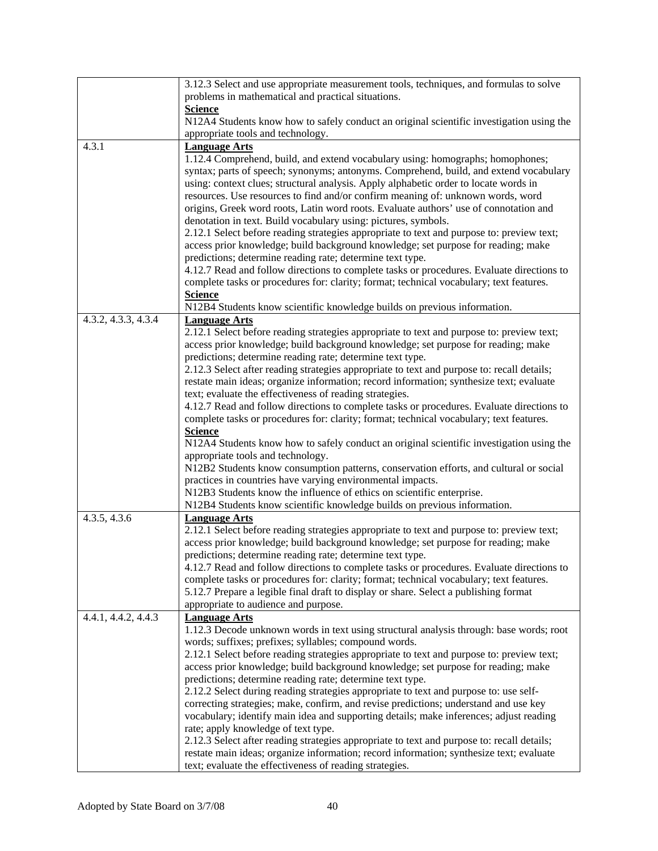|                     | 3.12.3 Select and use appropriate measurement tools, techniques, and formulas to solve<br>problems in mathematical and practical situations.                                          |
|---------------------|---------------------------------------------------------------------------------------------------------------------------------------------------------------------------------------|
|                     | <b>Science</b>                                                                                                                                                                        |
|                     | N12A4 Students know how to safely conduct an original scientific investigation using the                                                                                              |
|                     | appropriate tools and technology.                                                                                                                                                     |
| 4.3.1               | <b>Language Arts</b>                                                                                                                                                                  |
|                     | 1.12.4 Comprehend, build, and extend vocabulary using: homographs; homophones;                                                                                                        |
|                     | syntax; parts of speech; synonyms; antonyms. Comprehend, build, and extend vocabulary                                                                                                 |
|                     | using: context clues; structural analysis. Apply alphabetic order to locate words in                                                                                                  |
|                     | resources. Use resources to find and/or confirm meaning of: unknown words, word                                                                                                       |
|                     | origins, Greek word roots, Latin word roots. Evaluate authors' use of connotation and                                                                                                 |
|                     | denotation in text. Build vocabulary using: pictures, symbols.<br>2.12.1 Select before reading strategies appropriate to text and purpose to: preview text;                           |
|                     | access prior knowledge; build background knowledge; set purpose for reading; make                                                                                                     |
|                     | predictions; determine reading rate; determine text type.                                                                                                                             |
|                     | 4.12.7 Read and follow directions to complete tasks or procedures. Evaluate directions to                                                                                             |
|                     | complete tasks or procedures for: clarity; format; technical vocabulary; text features.                                                                                               |
|                     | <b>Science</b>                                                                                                                                                                        |
|                     | N12B4 Students know scientific knowledge builds on previous information.                                                                                                              |
| 4.3.2, 4.3.3, 4.3.4 | <b>Language Arts</b>                                                                                                                                                                  |
|                     | 2.12.1 Select before reading strategies appropriate to text and purpose to: preview text;                                                                                             |
|                     | access prior knowledge; build background knowledge; set purpose for reading; make                                                                                                     |
|                     | predictions; determine reading rate; determine text type.                                                                                                                             |
|                     | 2.12.3 Select after reading strategies appropriate to text and purpose to: recall details;<br>restate main ideas; organize information; record information; synthesize text; evaluate |
|                     | text; evaluate the effectiveness of reading strategies.                                                                                                                               |
|                     | 4.12.7 Read and follow directions to complete tasks or procedures. Evaluate directions to                                                                                             |
|                     | complete tasks or procedures for: clarity; format; technical vocabulary; text features.                                                                                               |
|                     | <b>Science</b>                                                                                                                                                                        |
|                     | N12A4 Students know how to safely conduct an original scientific investigation using the                                                                                              |
|                     | appropriate tools and technology.                                                                                                                                                     |
|                     | N12B2 Students know consumption patterns, conservation efforts, and cultural or social                                                                                                |
|                     | practices in countries have varying environmental impacts.<br>N12B3 Students know the influence of ethics on scientific enterprise.                                                   |
|                     | N12B4 Students know scientific knowledge builds on previous information.                                                                                                              |
| 4.3.5, 4.3.6        | <b>Language Arts</b>                                                                                                                                                                  |
|                     | 2.12.1 Select before reading strategies appropriate to text and purpose to: preview text;                                                                                             |
|                     | access prior knowledge; build background knowledge; set purpose for reading; make                                                                                                     |
|                     | predictions; determine reading rate; determine text type.                                                                                                                             |
|                     | 4.12.7 Read and follow directions to complete tasks or procedures. Evaluate directions to                                                                                             |
|                     | complete tasks or procedures for: clarity; format; technical vocabulary; text features.<br>5.12.7 Prepare a legible final draft to display or share. Select a publishing format       |
|                     | appropriate to audience and purpose.                                                                                                                                                  |
| 4.4.1, 4.4.2, 4.4.3 | <b>Language Arts</b>                                                                                                                                                                  |
|                     | 1.12.3 Decode unknown words in text using structural analysis through: base words; root                                                                                               |
|                     | words; suffixes; prefixes; syllables; compound words.                                                                                                                                 |
|                     | 2.12.1 Select before reading strategies appropriate to text and purpose to: preview text;                                                                                             |
|                     | access prior knowledge; build background knowledge; set purpose for reading; make                                                                                                     |
|                     | predictions; determine reading rate; determine text type.                                                                                                                             |
|                     | 2.12.2 Select during reading strategies appropriate to text and purpose to: use self-                                                                                                 |
|                     | correcting strategies; make, confirm, and revise predictions; understand and use key<br>vocabulary; identify main idea and supporting details; make inferences; adjust reading        |
|                     | rate; apply knowledge of text type.                                                                                                                                                   |
|                     | 2.12.3 Select after reading strategies appropriate to text and purpose to: recall details;                                                                                            |
|                     | restate main ideas; organize information; record information; synthesize text; evaluate                                                                                               |
|                     | text; evaluate the effectiveness of reading strategies.                                                                                                                               |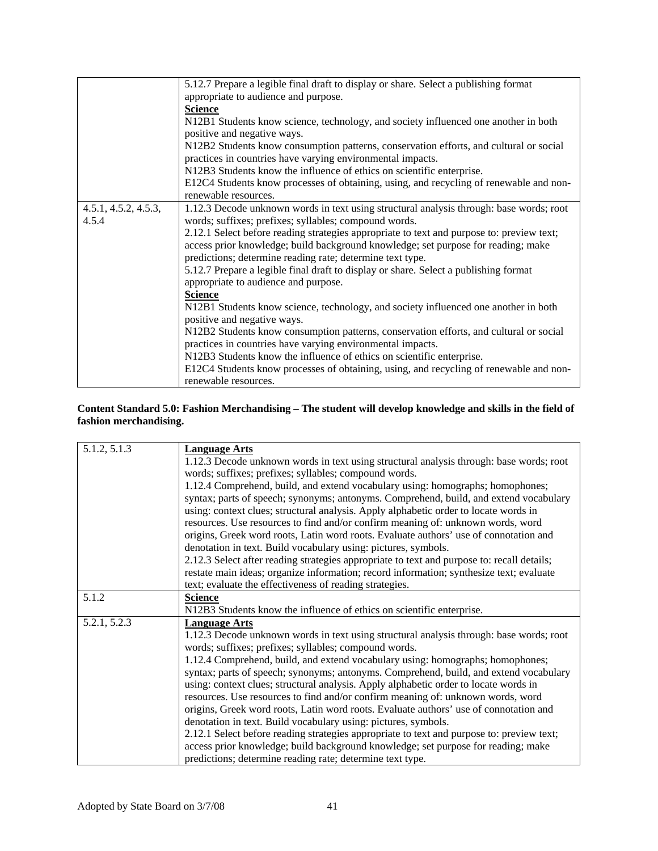|                      | 5.12.7 Prepare a legible final draft to display or share. Select a publishing format      |
|----------------------|-------------------------------------------------------------------------------------------|
|                      | appropriate to audience and purpose.                                                      |
|                      | <b>Science</b>                                                                            |
|                      | N12B1 Students know science, technology, and society influenced one another in both       |
|                      | positive and negative ways.                                                               |
|                      | N12B2 Students know consumption patterns, conservation efforts, and cultural or social    |
|                      | practices in countries have varying environmental impacts.                                |
|                      | N12B3 Students know the influence of ethics on scientific enterprise.                     |
|                      | E12C4 Students know processes of obtaining, using, and recycling of renewable and non-    |
|                      | renewable resources.                                                                      |
| 4.5.1, 4.5.2, 4.5.3, | 1.12.3 Decode unknown words in text using structural analysis through: base words; root   |
| 4.5.4                | words; suffixes; prefixes; syllables; compound words.                                     |
|                      | 2.12.1 Select before reading strategies appropriate to text and purpose to: preview text; |
|                      | access prior knowledge; build background knowledge; set purpose for reading; make         |
|                      | predictions; determine reading rate; determine text type.                                 |
|                      | 5.12.7 Prepare a legible final draft to display or share. Select a publishing format      |
|                      | appropriate to audience and purpose.                                                      |
|                      | <b>Science</b>                                                                            |
|                      | N12B1 Students know science, technology, and society influenced one another in both       |
|                      | positive and negative ways.                                                               |
|                      | N12B2 Students know consumption patterns, conservation efforts, and cultural or social    |
|                      | practices in countries have varying environmental impacts.                                |
|                      | N12B3 Students know the influence of ethics on scientific enterprise.                     |
|                      | E12C4 Students know processes of obtaining, using, and recycling of renewable and non-    |
|                      | renewable resources.                                                                      |
|                      |                                                                                           |

#### **Content Standard 5.0: Fashion Merchandising – The student will develop knowledge and skills in the field of fashion merchandising.**

| 5.1.2, 5.1.3 | <b>Language Arts</b>                                                                       |
|--------------|--------------------------------------------------------------------------------------------|
|              | 1.12.3 Decode unknown words in text using structural analysis through: base words; root    |
|              |                                                                                            |
|              | words; suffixes; prefixes; syllables; compound words.                                      |
|              | 1.12.4 Comprehend, build, and extend vocabulary using: homographs; homophones;             |
|              | syntax; parts of speech; synonyms; antonyms. Comprehend, build, and extend vocabulary      |
|              | using: context clues; structural analysis. Apply alphabetic order to locate words in       |
|              | resources. Use resources to find and/or confirm meaning of: unknown words, word            |
|              | origins, Greek word roots, Latin word roots. Evaluate authors' use of connotation and      |
|              | denotation in text. Build vocabulary using: pictures, symbols.                             |
|              | 2.12.3 Select after reading strategies appropriate to text and purpose to: recall details; |
|              | restate main ideas; organize information; record information; synthesize text; evaluate    |
|              | text; evaluate the effectiveness of reading strategies.                                    |
| 5.1.2        | <b>Science</b>                                                                             |
|              | N12B3 Students know the influence of ethics on scientific enterprise.                      |
| 5.2.1, 5.2.3 | <b>Language Arts</b>                                                                       |
|              | 1.12.3 Decode unknown words in text using structural analysis through: base words; root    |
|              | words; suffixes; prefixes; syllables; compound words.                                      |
|              | 1.12.4 Comprehend, build, and extend vocabulary using: homographs; homophones;             |
|              | syntax; parts of speech; synonyms; antonyms. Comprehend, build, and extend vocabulary      |
|              | using: context clues; structural analysis. Apply alphabetic order to locate words in       |
|              | resources. Use resources to find and/or confirm meaning of: unknown words, word            |
|              | origins, Greek word roots, Latin word roots. Evaluate authors' use of connotation and      |
|              | denotation in text. Build vocabulary using: pictures, symbols.                             |
|              | 2.12.1 Select before reading strategies appropriate to text and purpose to: preview text;  |
|              | access prior knowledge; build background knowledge; set purpose for reading; make          |
|              | predictions; determine reading rate; determine text type.                                  |
|              |                                                                                            |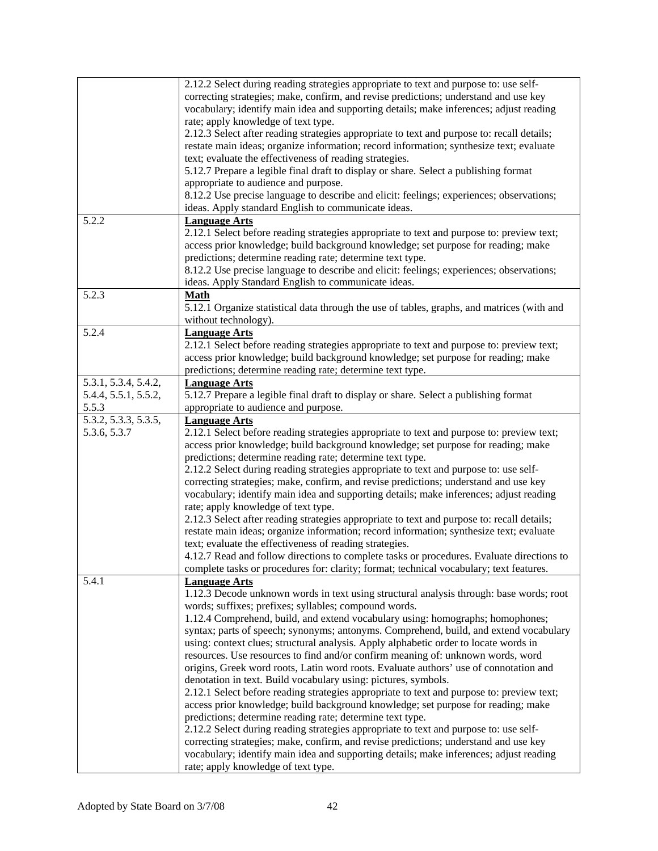|                      | 2.12.2 Select during reading strategies appropriate to text and purpose to: use self-                                                                                         |
|----------------------|-------------------------------------------------------------------------------------------------------------------------------------------------------------------------------|
|                      | correcting strategies; make, confirm, and revise predictions; understand and use key                                                                                          |
|                      | vocabulary; identify main idea and supporting details; make inferences; adjust reading                                                                                        |
|                      | rate; apply knowledge of text type.                                                                                                                                           |
|                      | 2.12.3 Select after reading strategies appropriate to text and purpose to: recall details;                                                                                    |
|                      | restate main ideas; organize information; record information; synthesize text; evaluate                                                                                       |
|                      | text; evaluate the effectiveness of reading strategies.                                                                                                                       |
|                      | 5.12.7 Prepare a legible final draft to display or share. Select a publishing format                                                                                          |
|                      | appropriate to audience and purpose.                                                                                                                                          |
|                      | 8.12.2 Use precise language to describe and elicit: feelings; experiences; observations;                                                                                      |
|                      | ideas. Apply standard English to communicate ideas.                                                                                                                           |
| 5.2.2                | <b>Language Arts</b>                                                                                                                                                          |
|                      |                                                                                                                                                                               |
|                      | 2.12.1 Select before reading strategies appropriate to text and purpose to: preview text;                                                                                     |
|                      | access prior knowledge; build background knowledge; set purpose for reading; make                                                                                             |
|                      | predictions; determine reading rate; determine text type.                                                                                                                     |
|                      | 8.12.2 Use precise language to describe and elicit: feelings; experiences; observations;                                                                                      |
|                      | ideas. Apply Standard English to communicate ideas.                                                                                                                           |
| 5.2.3                | <b>Math</b>                                                                                                                                                                   |
|                      | 5.12.1 Organize statistical data through the use of tables, graphs, and matrices (with and                                                                                    |
|                      | without technology).                                                                                                                                                          |
| 5.2.4                | <b>Language Arts</b>                                                                                                                                                          |
|                      | 2.12.1 Select before reading strategies appropriate to text and purpose to: preview text;                                                                                     |
|                      | access prior knowledge; build background knowledge; set purpose for reading; make                                                                                             |
|                      | predictions; determine reading rate; determine text type.                                                                                                                     |
| 5.3.1, 5.3.4, 5.4.2, | <b>Language Arts</b>                                                                                                                                                          |
| 5.4.4, 5.5.1, 5.5.2, | 5.12.7 Prepare a legible final draft to display or share. Select a publishing format                                                                                          |
| 5.5.3                | appropriate to audience and purpose.                                                                                                                                          |
| 5.3.2, 5.3.3, 5.3.5, | <b>Language Arts</b>                                                                                                                                                          |
| 5.3.6, 5.3.7         | 2.12.1 Select before reading strategies appropriate to text and purpose to: preview text;                                                                                     |
|                      | access prior knowledge; build background knowledge; set purpose for reading; make                                                                                             |
|                      | predictions; determine reading rate; determine text type.                                                                                                                     |
|                      | 2.12.2 Select during reading strategies appropriate to text and purpose to: use self-                                                                                         |
|                      | correcting strategies; make, confirm, and revise predictions; understand and use key                                                                                          |
|                      | vocabulary; identify main idea and supporting details; make inferences; adjust reading                                                                                        |
|                      | rate; apply knowledge of text type.                                                                                                                                           |
|                      | 2.12.3 Select after reading strategies appropriate to text and purpose to: recall details;                                                                                    |
|                      | restate main ideas; organize information; record information; synthesize text; evaluate                                                                                       |
|                      | text; evaluate the effectiveness of reading strategies.                                                                                                                       |
|                      | 4.12.7 Read and follow directions to complete tasks or procedures. Evaluate directions to                                                                                     |
|                      | complete tasks or procedures for: clarity; format; technical vocabulary; text features.                                                                                       |
| 5.4.1                | <b>Language Arts</b>                                                                                                                                                          |
|                      | 1.12.3 Decode unknown words in text using structural analysis through: base words; root                                                                                       |
|                      | words; suffixes; prefixes; syllables; compound words.                                                                                                                         |
|                      | 1.12.4 Comprehend, build, and extend vocabulary using: homographs; homophones;                                                                                                |
|                      | syntax; parts of speech; synonyms; antonyms. Comprehend, build, and extend vocabulary                                                                                         |
|                      | using: context clues; structural analysis. Apply alphabetic order to locate words in                                                                                          |
|                      | resources. Use resources to find and/or confirm meaning of: unknown words, word                                                                                               |
|                      | origins, Greek word roots, Latin word roots. Evaluate authors' use of connotation and                                                                                         |
|                      | denotation in text. Build vocabulary using: pictures, symbols.                                                                                                                |
|                      | 2.12.1 Select before reading strategies appropriate to text and purpose to: preview text;                                                                                     |
|                      | access prior knowledge; build background knowledge; set purpose for reading; make                                                                                             |
|                      | predictions; determine reading rate; determine text type.                                                                                                                     |
|                      |                                                                                                                                                                               |
|                      | 2.12.2 Select during reading strategies appropriate to text and purpose to: use self-<br>correcting strategies; make, confirm, and revise predictions; understand and use key |
|                      | vocabulary; identify main idea and supporting details; make inferences; adjust reading                                                                                        |
|                      |                                                                                                                                                                               |
|                      | rate; apply knowledge of text type.                                                                                                                                           |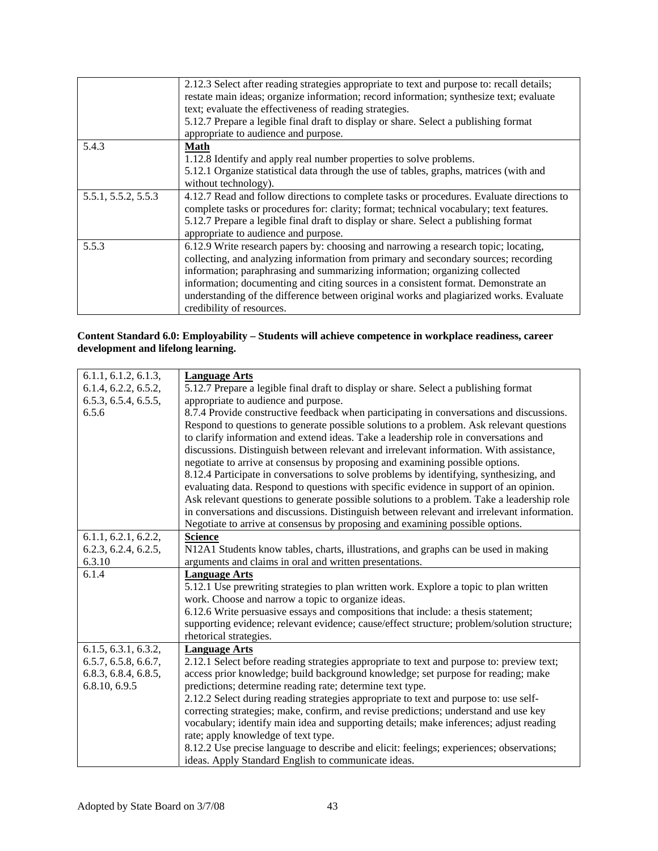|                     | 2.12.3 Select after reading strategies appropriate to text and purpose to: recall details;<br>restate main ideas; organize information; record information; synthesize text; evaluate<br>text; evaluate the effectiveness of reading strategies.<br>5.12.7 Prepare a legible final draft to display or share. Select a publishing format |
|---------------------|------------------------------------------------------------------------------------------------------------------------------------------------------------------------------------------------------------------------------------------------------------------------------------------------------------------------------------------|
|                     | appropriate to audience and purpose.                                                                                                                                                                                                                                                                                                     |
| 5.4.3               | <b>Math</b>                                                                                                                                                                                                                                                                                                                              |
|                     | 1.12.8 Identify and apply real number properties to solve problems.                                                                                                                                                                                                                                                                      |
|                     | 5.12.1 Organize statistical data through the use of tables, graphs, matrices (with and                                                                                                                                                                                                                                                   |
|                     | without technology).                                                                                                                                                                                                                                                                                                                     |
| 5.5.1, 5.5.2, 5.5.3 | 4.12.7 Read and follow directions to complete tasks or procedures. Evaluate directions to                                                                                                                                                                                                                                                |
|                     | complete tasks or procedures for: clarity; format; technical vocabulary; text features.                                                                                                                                                                                                                                                  |
|                     | 5.12.7 Prepare a legible final draft to display or share. Select a publishing format                                                                                                                                                                                                                                                     |
|                     | appropriate to audience and purpose.                                                                                                                                                                                                                                                                                                     |
| 5.5.3               | 6.12.9 Write research papers by: choosing and narrowing a research topic; locating,                                                                                                                                                                                                                                                      |
|                     | collecting, and analyzing information from primary and secondary sources; recording                                                                                                                                                                                                                                                      |
|                     | information; paraphrasing and summarizing information; organizing collected                                                                                                                                                                                                                                                              |
|                     | information; documenting and citing sources in a consistent format. Demonstrate an                                                                                                                                                                                                                                                       |
|                     | understanding of the difference between original works and plagiarized works. Evaluate                                                                                                                                                                                                                                                   |
|                     | credibility of resources.                                                                                                                                                                                                                                                                                                                |

#### **Content Standard 6.0: Employability – Students will achieve competence in workplace readiness, career development and lifelong learning.**

| 6.1.1, 6.1.2, 6.1.3, | <b>Language Arts</b>                                                                        |
|----------------------|---------------------------------------------------------------------------------------------|
| 6.1.4, 6.2.2, 6.5.2, | 5.12.7 Prepare a legible final draft to display or share. Select a publishing format        |
| 6.5.3, 6.5.4, 6.5.5, | appropriate to audience and purpose.                                                        |
| 6.5.6                | 8.7.4 Provide constructive feedback when participating in conversations and discussions.    |
|                      | Respond to questions to generate possible solutions to a problem. Ask relevant questions    |
|                      | to clarify information and extend ideas. Take a leadership role in conversations and        |
|                      | discussions. Distinguish between relevant and irrelevant information. With assistance,      |
|                      | negotiate to arrive at consensus by proposing and examining possible options.               |
|                      | 8.12.4 Participate in conversations to solve problems by identifying, synthesizing, and     |
|                      | evaluating data. Respond to questions with specific evidence in support of an opinion.      |
|                      | Ask relevant questions to generate possible solutions to a problem. Take a leadership role  |
|                      | in conversations and discussions. Distinguish between relevant and irrelevant information.  |
|                      | Negotiate to arrive at consensus by proposing and examining possible options.               |
| 6.1.1, 6.2.1, 6.2.2, | <b>Science</b>                                                                              |
| 6.2.3, 6.2.4, 6.2.5, | N12A1 Students know tables, charts, illustrations, and graphs can be used in making         |
| 6.3.10               | arguments and claims in oral and written presentations.                                     |
| 6.1.4                | <b>Language Arts</b>                                                                        |
|                      |                                                                                             |
|                      | 5.12.1 Use prewriting strategies to plan written work. Explore a topic to plan written      |
|                      | work. Choose and narrow a topic to organize ideas.                                          |
|                      | 6.12.6 Write persuasive essays and compositions that include: a thesis statement;           |
|                      | supporting evidence; relevant evidence; cause/effect structure; problem/solution structure; |
|                      | rhetorical strategies.                                                                      |
| 6.1.5, 6.3.1, 6.3.2, | <b>Language Arts</b>                                                                        |
| 6.5.7, 6.5.8, 6.6.7, | 2.12.1 Select before reading strategies appropriate to text and purpose to: preview text;   |
| 6.8.3, 6.8.4, 6.8.5, | access prior knowledge; build background knowledge; set purpose for reading; make           |
| 6.8.10, 6.9.5        | predictions; determine reading rate; determine text type.                                   |
|                      | 2.12.2 Select during reading strategies appropriate to text and purpose to: use self-       |
|                      | correcting strategies; make, confirm, and revise predictions; understand and use key        |
|                      | vocabulary; identify main idea and supporting details; make inferences; adjust reading      |
|                      | rate; apply knowledge of text type.                                                         |
|                      | 8.12.2 Use precise language to describe and elicit: feelings; experiences; observations;    |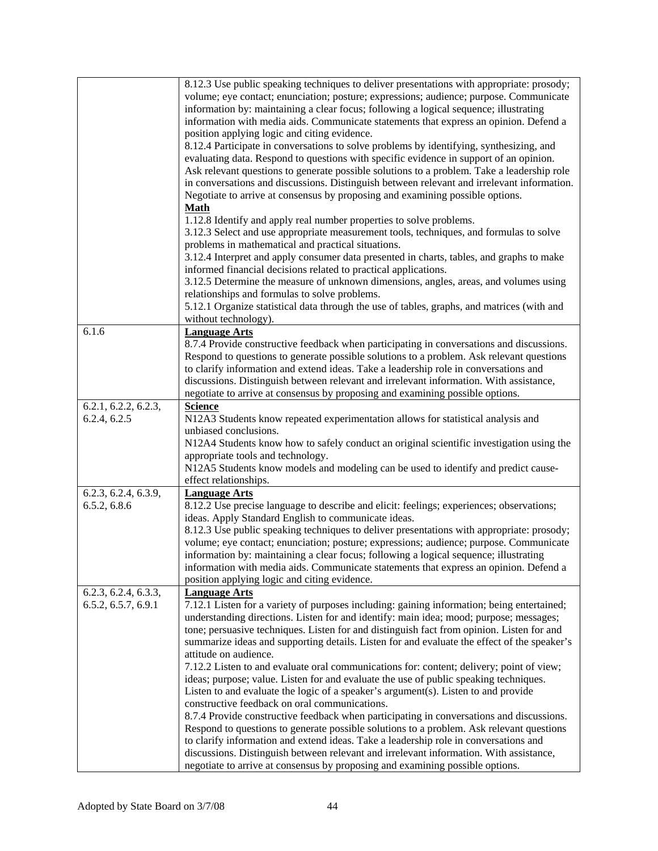|                      | 8.12.3 Use public speaking techniques to deliver presentations with appropriate: prosody;   |
|----------------------|---------------------------------------------------------------------------------------------|
|                      | volume; eye contact; enunciation; posture; expressions; audience; purpose. Communicate      |
|                      | information by: maintaining a clear focus; following a logical sequence; illustrating       |
|                      | information with media aids. Communicate statements that express an opinion. Defend a       |
|                      |                                                                                             |
|                      | position applying logic and citing evidence.                                                |
|                      | 8.12.4 Participate in conversations to solve problems by identifying, synthesizing, and     |
|                      | evaluating data. Respond to questions with specific evidence in support of an opinion.      |
|                      | Ask relevant questions to generate possible solutions to a problem. Take a leadership role  |
|                      | in conversations and discussions. Distinguish between relevant and irrelevant information.  |
|                      | Negotiate to arrive at consensus by proposing and examining possible options.               |
|                      | <b>Math</b>                                                                                 |
|                      | 1.12.8 Identify and apply real number properties to solve problems.                         |
|                      | 3.12.3 Select and use appropriate measurement tools, techniques, and formulas to solve      |
|                      | problems in mathematical and practical situations.                                          |
|                      | 3.12.4 Interpret and apply consumer data presented in charts, tables, and graphs to make    |
|                      | informed financial decisions related to practical applications.                             |
|                      |                                                                                             |
|                      | 3.12.5 Determine the measure of unknown dimensions, angles, areas, and volumes using        |
|                      | relationships and formulas to solve problems.                                               |
|                      | 5.12.1 Organize statistical data through the use of tables, graphs, and matrices (with and  |
|                      | without technology).                                                                        |
| 6.1.6                | <b>Language Arts</b>                                                                        |
|                      | 8.7.4 Provide constructive feedback when participating in conversations and discussions.    |
|                      | Respond to questions to generate possible solutions to a problem. Ask relevant questions    |
|                      | to clarify information and extend ideas. Take a leadership role in conversations and        |
|                      | discussions. Distinguish between relevant and irrelevant information. With assistance,      |
|                      | negotiate to arrive at consensus by proposing and examining possible options.               |
| 6.2.1, 6.2.2, 6.2.3, | <b>Science</b>                                                                              |
| 6.2.4, 6.2.5         | N12A3 Students know repeated experimentation allows for statistical analysis and            |
|                      | unbiased conclusions.                                                                       |
|                      | N12A4 Students know how to safely conduct an original scientific investigation using the    |
|                      | appropriate tools and technology.                                                           |
|                      | N12A5 Students know models and modeling can be used to identify and predict cause-          |
|                      | effect relationships.                                                                       |
| 6.2.3, 6.2.4, 6.3.9, | <b>Language Arts</b>                                                                        |
| 6.5.2, 6.8.6         | 8.12.2 Use precise language to describe and elicit: feelings; experiences; observations;    |
|                      | ideas. Apply Standard English to communicate ideas.                                         |
|                      | 8.12.3 Use public speaking techniques to deliver presentations with appropriate: prosody;   |
|                      | volume; eye contact; enunciation; posture; expressions; audience; purpose. Communicate      |
|                      | information by: maintaining a clear focus; following a logical sequence; illustrating       |
|                      | information with media aids. Communicate statements that express an opinion. Defend a       |
|                      | position applying logic and citing evidence.                                                |
| 6.2.3, 6.2.4, 6.3.3, | <b>Language Arts</b>                                                                        |
| 6.5.2, 6.5.7, 6.9.1  | 7.12.1 Listen for a variety of purposes including: gaining information; being entertained;  |
|                      | understanding directions. Listen for and identify: main idea; mood; purpose; messages;      |
|                      | tone; persuasive techniques. Listen for and distinguish fact from opinion. Listen for and   |
|                      | summarize ideas and supporting details. Listen for and evaluate the effect of the speaker's |
|                      | attitude on audience.                                                                       |
|                      | 7.12.2 Listen to and evaluate oral communications for: content; delivery; point of view;    |
|                      | ideas; purpose; value. Listen for and evaluate the use of public speaking techniques.       |
|                      | Listen to and evaluate the logic of a speaker's argument(s). Listen to and provide          |
|                      | constructive feedback on oral communications.                                               |
|                      | 8.7.4 Provide constructive feedback when participating in conversations and discussions.    |
|                      | Respond to questions to generate possible solutions to a problem. Ask relevant questions    |
|                      | to clarify information and extend ideas. Take a leadership role in conversations and        |
|                      |                                                                                             |
|                      | discussions. Distinguish between relevant and irrelevant information. With assistance,      |
|                      | negotiate to arrive at consensus by proposing and examining possible options.               |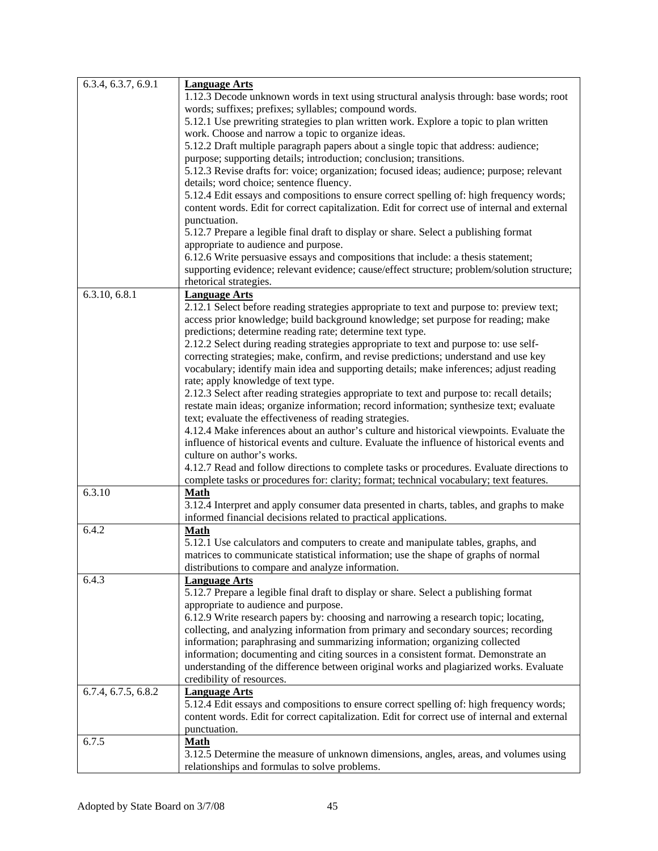| 6.3.4, 6.3.7, 6.9.1 | <b>Language Arts</b>                                                                          |
|---------------------|-----------------------------------------------------------------------------------------------|
|                     | 1.12.3 Decode unknown words in text using structural analysis through: base words; root       |
|                     | words; suffixes; prefixes; syllables; compound words.                                         |
|                     | 5.12.1 Use prewriting strategies to plan written work. Explore a topic to plan written        |
|                     | work. Choose and narrow a topic to organize ideas.                                            |
|                     |                                                                                               |
|                     | 5.12.2 Draft multiple paragraph papers about a single topic that address: audience;           |
|                     | purpose; supporting details; introduction; conclusion; transitions.                           |
|                     | 5.12.3 Revise drafts for: voice; organization; focused ideas; audience; purpose; relevant     |
|                     | details; word choice; sentence fluency.                                                       |
|                     | 5.12.4 Edit essays and compositions to ensure correct spelling of: high frequency words;      |
|                     | content words. Edit for correct capitalization. Edit for correct use of internal and external |
|                     | punctuation.                                                                                  |
|                     | 5.12.7 Prepare a legible final draft to display or share. Select a publishing format          |
|                     | appropriate to audience and purpose.                                                          |
|                     | 6.12.6 Write persuasive essays and compositions that include: a thesis statement;             |
|                     | supporting evidence; relevant evidence; cause/effect structure; problem/solution structure;   |
|                     | rhetorical strategies.                                                                        |
| 6.3.10, 6.8.1       | <b>Language Arts</b>                                                                          |
|                     | 2.12.1 Select before reading strategies appropriate to text and purpose to: preview text;     |
|                     | access prior knowledge; build background knowledge; set purpose for reading; make             |
|                     | predictions; determine reading rate; determine text type.                                     |
|                     | 2.12.2 Select during reading strategies appropriate to text and purpose to: use self-         |
|                     | correcting strategies; make, confirm, and revise predictions; understand and use key          |
|                     | vocabulary; identify main idea and supporting details; make inferences; adjust reading        |
|                     | rate; apply knowledge of text type.                                                           |
|                     | 2.12.3 Select after reading strategies appropriate to text and purpose to: recall details;    |
|                     | restate main ideas; organize information; record information; synthesize text; evaluate       |
|                     | text; evaluate the effectiveness of reading strategies.                                       |
|                     | 4.12.4 Make inferences about an author's culture and historical viewpoints. Evaluate the      |
|                     |                                                                                               |
|                     | influence of historical events and culture. Evaluate the influence of historical events and   |
|                     | culture on author's works.                                                                    |
|                     | 4.12.7 Read and follow directions to complete tasks or procedures. Evaluate directions to     |
|                     | complete tasks or procedures for: clarity; format; technical vocabulary; text features.       |
| 6.3.10              | <b>Math</b>                                                                                   |
|                     | 3.12.4 Interpret and apply consumer data presented in charts, tables, and graphs to make      |
|                     | informed financial decisions related to practical applications.                               |
| 6.4.2               | <b>Math</b>                                                                                   |
|                     | 5.12.1 Use calculators and computers to create and manipulate tables, graphs, and             |
|                     | matrices to communicate statistical information; use the shape of graphs of normal            |
|                     | distributions to compare and analyze information.                                             |
| 6.4.3               | <b>Language Arts</b>                                                                          |
|                     | 5.12.7 Prepare a legible final draft to display or share. Select a publishing format          |
|                     | appropriate to audience and purpose.                                                          |
|                     | 6.12.9 Write research papers by: choosing and narrowing a research topic; locating,           |
|                     | collecting, and analyzing information from primary and secondary sources; recording           |
|                     | information; paraphrasing and summarizing information; organizing collected                   |
|                     | information; documenting and citing sources in a consistent format. Demonstrate an            |
|                     | understanding of the difference between original works and plagiarized works. Evaluate        |
|                     | credibility of resources.                                                                     |
| 6.7.4, 6.7.5, 6.8.2 | <b>Language Arts</b>                                                                          |
|                     | 5.12.4 Edit essays and compositions to ensure correct spelling of: high frequency words;      |
|                     | content words. Edit for correct capitalization. Edit for correct use of internal and external |
|                     | punctuation.                                                                                  |
| 6.7.5               | <b>Math</b>                                                                                   |
|                     | 3.12.5 Determine the measure of unknown dimensions, angles, areas, and volumes using          |
|                     | relationships and formulas to solve problems.                                                 |
|                     |                                                                                               |